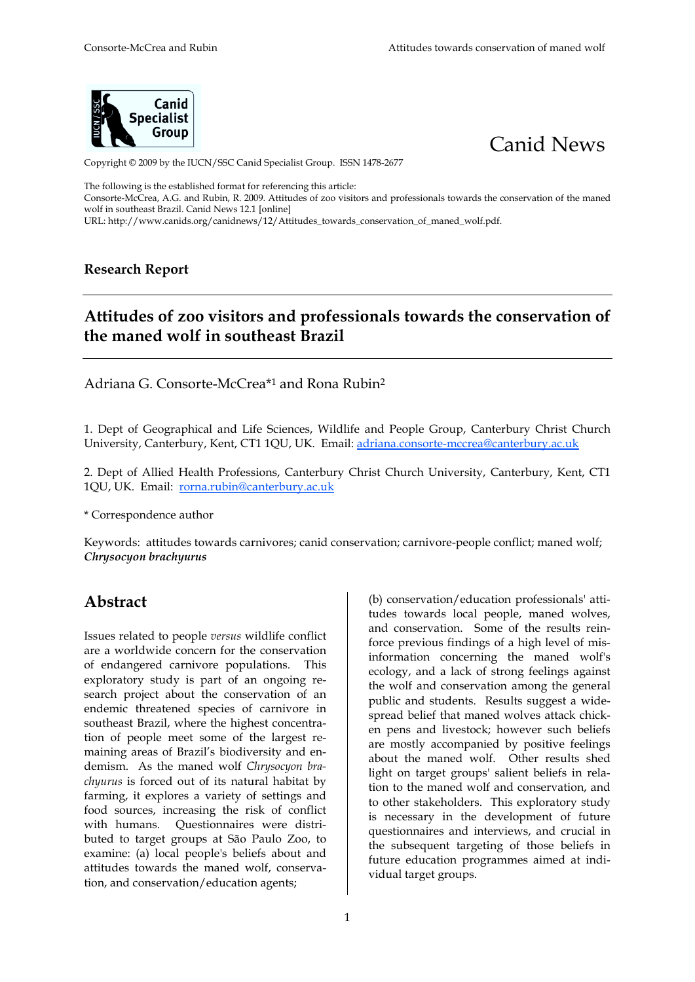



Copyright © 2009 by the IUCN/SSC Canid Specialist Group. ISSN 1478-2677

The following is the established format for referencing this article:

Consorte-McCrea, A.G. and Rubin, R. 2009. Attitudes of zoo visitors and professionals towards the conservation of the maned wolf in southeast Brazil. Canid News 12.1 1 [online]

URL: http://www.canids.org/canidnews/12/Attitudes\_towards\_conservation\_of\_maned\_wolf.pdf.

### **Research Report**

# Attitudes of zoo visitors and professionals towards the conservation of **the maned wolf in sout utheast Brazil**

Adriana G. Consorte-McCrea\*<sup>1</sup> and Rona Rubin<sup>2</sup>

1. Dept of Geographical and Life Sciences, Wildlife and People Group, Canterbury Christ Church University, Canterbury, Kent, CT1 1QU, UK. Email: <u>adriana.consorte-mccrea@canterbury.ac.uk</u>

2. Dept of Allied Health Profess essions, Canterbury Christ Church University, Can anterbury, Kent, CT1 1QU, UK. Email: <u>rorna.rubin@canterbury.ac.uk</u>

\* Correspondence author

Keywords: attitudes towards carnivores; canid conservation; carnivore-people conflict; maned wolf; *Chrysocyon brachyurus*

## **Abstract**

Issues related to people *versus* w wildlife conflict are a worldwide concern for the the conservation of endangered carnivore populations. This exploratory study is part of an ongoing research project about the conservation of an endemic threatened species of carnivore in southeast Brazil, where the highest concentration of people meet some of the largest remaining areas of Brazil's biodiversity and endemism. As the maned wolf *Ch Chrysocyon brachyurus* is forced out of its natural habitat by farming, it explores a variety of settings and food sources, increasing the risk of conflict with humans. Questionnaires were distributed to target groups at São Paulo Zoo, to examine: (a) local people's beliefs about and attitudes towards the maned wolf, conservation, and conservation/education agents;

(b) conservation/education professionals' attitudes towards local people, maned wolves, and conservation. Some of the results reinforce previous findings of a high level of misinformation concerning the maned wolf's ecology, and a lack of strong feelings against the wolf and conservation among the general public and students. Results suggest a widespread belief that maned wolves attack chicken pens and livestock; however such beliefs are mostly accompanied by positive feelings about the maned wolf. Other results shed light on target groups' salient beliefs in relation to the maned wolf and conservation, and to other stakeholders. This exploratory study is necessary in the development of future questionnaires and interviews, and crucial in the subsequent targeting of those beliefs in future education programmes aimed at individual target groups.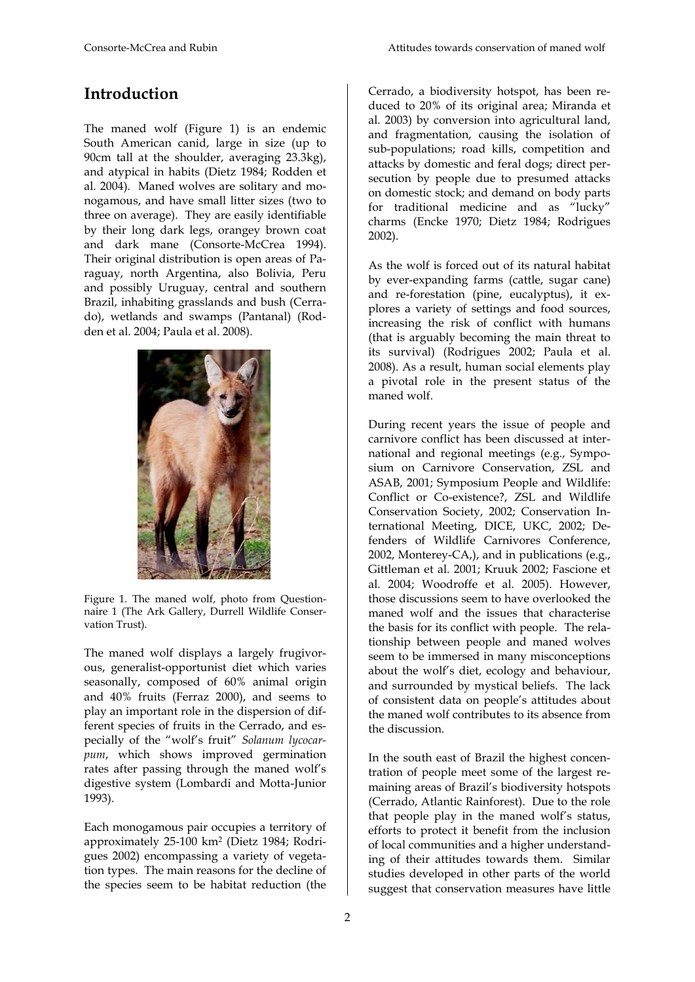## **Introduction**

The maned wolf (Figure 1) is an endemic South American canid, large in size (up to 90cm tall at the shoulder, averaging 23.3kg), and atypical in habits (Dietz 1984; Rodden et al. 2004). Maned wolves are solitary and monogamous, and have small litter sizes (two to three on average). They are easily identifiable by their long dark legs, orangey brown coat and dark mane (Consorte-McCrea 1994). Their original distribution is open areas of Paraguay, north Argentina, also Bolivia, Peru and possibly Uruguay, central and southern Brazil, inhabiting grasslands and bush (Cerrado), wetlands and swamps (Pantanal) (Rodden et al. 2004; Paula et al. 2008).



Figure 1. The maned wolf, photo from Questionnaire 1 (The Ark Gallery, Durrell Wildlife Conservation Trust).

The maned wolf displays a largely frugivorous, generalist-opportunist diet which varies seasonally, composed of 60% animal origin and 40% fruits (Ferraz 2000), and seems to play an important role in the dispersion of different species of fruits in the Cerrado, and especially of the "wolf's fruit" *Solanum lycocarpum*, which shows improved germination rates after passing through the maned wolf's digestive system (Lombardi and Motta-Junior 1993).

Each monogamous pair occupies a territory of approximately 25-100 km<sup>2</sup> (Dietz 1984; Rodrigues 2002) encompassing a variety of vegetation types. The main reasons for the decline of the species seem to be habitat reduction (the

Cerrado, a biodiversity hotspot, has been reduced to 20% of its original area; Miranda et al. 2003) by conversion into agricultural land, and fragmentation, causing the isolation of sub-populations; road kills, competition and attacks by domestic and feral dogs; direct persecution by people due to presumed attacks on domestic stock; and demand on body parts for traditional medicine and as "lucky" charms (Encke 1970; Dietz 1984; Rodrigues 2002).

As the wolf is forced out of its natural habitat by ever-expanding farms (cattle, sugar cane) and re-forestation (pine, eucalyptus), it explores a variety of settings and food sources, increasing the risk of conflict with humans (that is arguably becoming the main threat to its survival) (Rodrigues 2002; Paula et al. 2008). As a result, human social elements play a pivotal role in the present status of the maned wolf.

During recent years the issue of people and carnivore conflict has been discussed at international and regional meetings (e.g., Symposium on Carnivore Conservation, ZSL and ASAB, 2001; Symposium People and Wildlife: Conflict or Co-existence?, ZSL and Wildlife Conservation Society, 2002; Conservation International Meeting, DICE, UKC, 2002; Defenders of Wildlife Carnivores Conference, 2002, Monterey-CA,), and in publications (e.g., Gittleman et al. 2001; Kruuk 2002; Fascione et al. 2004; Woodroffe et al. 2005). However, those discussions seem to have overlooked the maned wolf and the issues that characterise the basis for its conflict with people. The relationship between people and maned wolves seem to be immersed in many misconceptions about the wolf's diet, ecology and behaviour, and surrounded by mystical beliefs. The lack of consistent data on people's attitudes about the maned wolf contributes to its absence from the discussion.

In the south east of Brazil the highest concentration of people meet some of the largest remaining areas of Brazil's biodiversity hotspots (Cerrado, Atlantic Rainforest). Due to the role that people play in the maned wolf's status, efforts to protect it benefit from the inclusion of local communities and a higher understanding of their attitudes towards them. Similar studies developed in other parts of the world suggest that conservation measures have little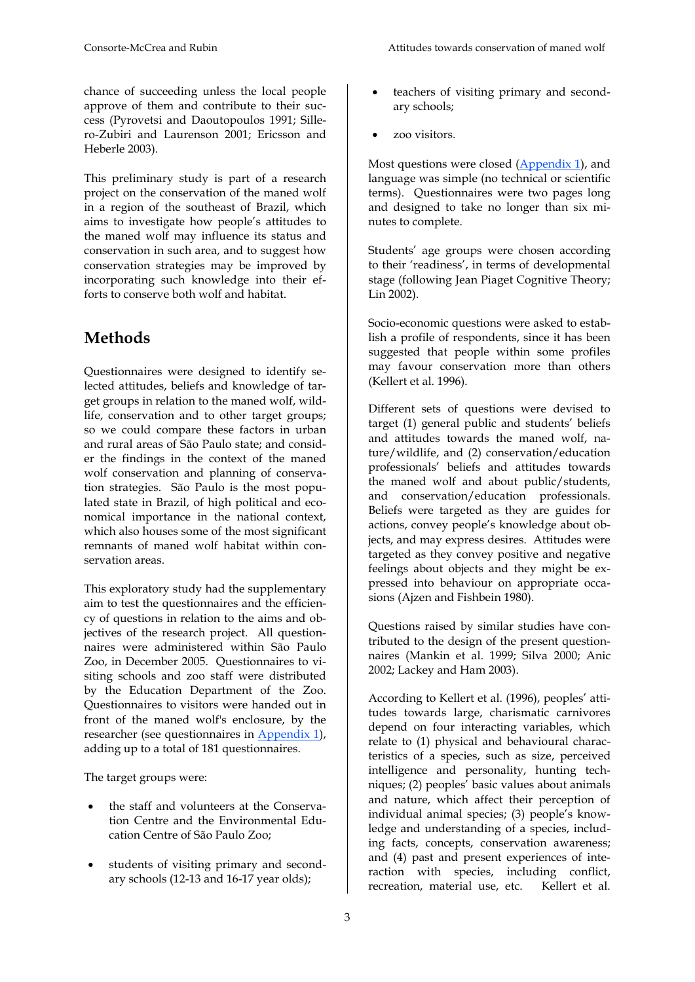chance of succeeding unless the local people approve of them and contribute to their success (Pyrovetsi and Daoutopoulos 1991; Sillero-Zubiri and Laurenson 2001; Ericsson and Heberle 2003).

This preliminary study is part of a research project on the conservation of the maned wolf in a region of the southeast of Brazil, which aims to investigate how people's attitudes to the maned wolf may influence its status and conservation in such area, and to suggest how conservation strategies may be improved by incorporating such knowledge into their efforts to conserve both wolf and habitat.

# **Methods**

Questionnaires were designed to identify selected attitudes, beliefs and knowledge of target groups in relation to the maned wolf, wildlife, conservation and to other target groups; so we could compare these factors in urban and rural areas of São Paulo state; and consider the findings in the context of the maned wolf conservation and planning of conservation strategies. São Paulo is the most populated state in Brazil, of high political and economical importance in the national context, which also houses some of the most significant remnants of maned wolf habitat within conservation areas.

This exploratory study had the supplementary aim to test the questionnaires and the efficiency of questions in relation to the aims and objectives of the research project. All questionnaires were administered within São Paulo Zoo, in December 2005. Questionnaires to visiting schools and zoo staff were distributed by the Education Department of the Zoo. Questionnaires to visitors were handed out in front of the maned wolf's enclosure, by the researcher (see questionnaires in Appendix 1), adding up to a total of 181 questionnaires.

The target groups were:

- the staff and volunteers at the Conservation Centre and the Environmental Education Centre of São Paulo Zoo;
- students of visiting primary and secondary schools (12-13 and 16-17 year olds);
- teachers of visiting primary and secondary schools;
- zoo visitors.

Most questions were closed (Appendix 1), and language was simple (no technical or scientific terms). Questionnaires were two pages long and designed to take no longer than six minutes to complete.

Students' age groups were chosen according to their 'readiness', in terms of developmental stage (following Jean Piaget Cognitive Theory; Lin 2002).

Socio-economic questions were asked to establish a profile of respondents, since it has been suggested that people within some profiles may favour conservation more than others (Kellert et al. 1996).

Different sets of questions were devised to target (1) general public and students' beliefs and attitudes towards the maned wolf, nature/wildlife, and (2) conservation/education professionals' beliefs and attitudes towards the maned wolf and about public/students, and conservation/education professionals. Beliefs were targeted as they are guides for actions, convey people's knowledge about objects, and may express desires. Attitudes were targeted as they convey positive and negative feelings about objects and they might be expressed into behaviour on appropriate occasions (Ajzen and Fishbein 1980).

Questions raised by similar studies have contributed to the design of the present questionnaires (Mankin et al. 1999; Silva 2000; Anic 2002; Lackey and Ham 2003).

According to Kellert et al. (1996), peoples' attitudes towards large, charismatic carnivores depend on four interacting variables, which relate to (1) physical and behavioural characteristics of a species, such as size, perceived intelligence and personality, hunting techniques; (2) peoples' basic values about animals and nature, which affect their perception of individual animal species; (3) people's knowledge and understanding of a species, including facts, concepts, conservation awareness; and (4) past and present experiences of interaction with species, including conflict, recreation, material use, etc. Kellert et al.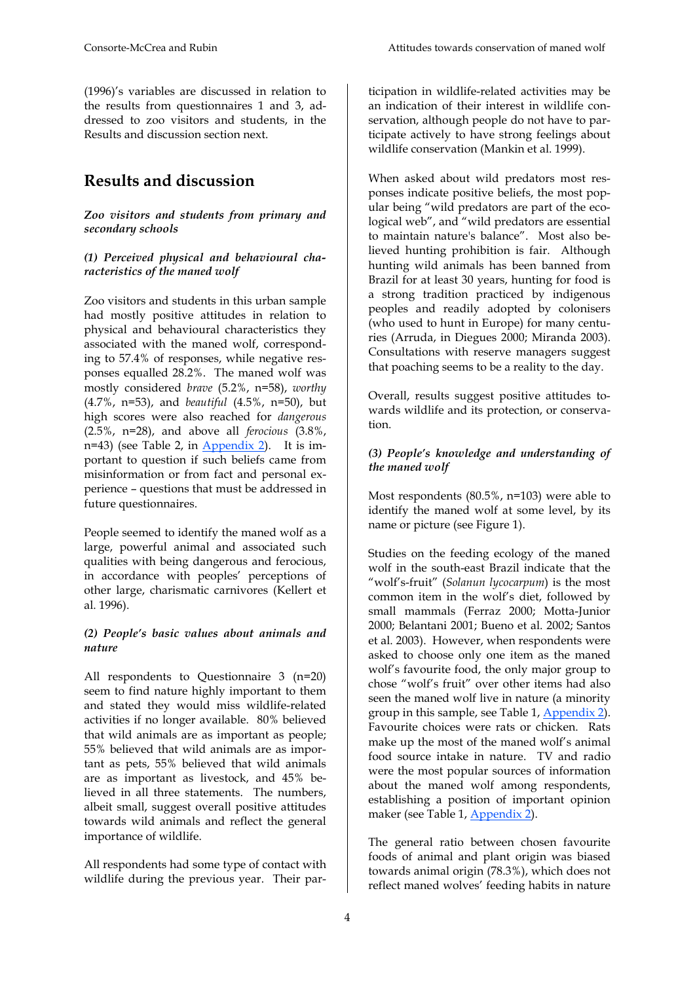(1996)'s variables are discussed in relation to the results from questionnaires 1 and 3, addressed to zoo visitors and students, in the Results and discussion section next.

## **Results and discussion**

### *Zoo visitors and students from primary and secondary schools*

### *(1) Perceived physical and behavioural characteristics of the maned wolf*

Zoo visitors and students in this urban sample had mostly positive attitudes in relation to physical and behavioural characteristics they associated with the maned wolf, corresponding to 57.4% of responses, while negative responses equalled 28.2%. The maned wolf was mostly considered *brave* (5.2%, n=58), *worthy* (4.7%, n=53), and *beautiful* (4.5%, n=50), but high scores were also reached for *dangerous* (2.5%, n=28), and above all *ferocious* (3.8%, n=43) (see Table 2, in Appendix 2). It is important to question if such beliefs came from misinformation or from fact and personal experience – questions that must be addressed in future questionnaires.

People seemed to identify the maned wolf as a large, powerful animal and associated such qualities with being dangerous and ferocious, in accordance with peoples' perceptions of other large, charismatic carnivores (Kellert et al. 1996).

### *(2) People's basic values about animals and nature*

All respondents to Questionnaire 3 (n=20) seem to find nature highly important to them and stated they would miss wildlife-related activities if no longer available. 80% believed that wild animals are as important as people; 55% believed that wild animals are as important as pets, 55% believed that wild animals are as important as livestock, and 45% believed in all three statements. The numbers, albeit small, suggest overall positive attitudes towards wild animals and reflect the general importance of wildlife.

All respondents had some type of contact with wildlife during the previous year. Their participation in wildlife-related activities may be an indication of their interest in wildlife conservation, although people do not have to participate actively to have strong feelings about wildlife conservation (Mankin et al. 1999).

When asked about wild predators most responses indicate positive beliefs, the most popular being "wild predators are part of the ecological web", and "wild predators are essential to maintain nature's balance". Most also believed hunting prohibition is fair. Although hunting wild animals has been banned from Brazil for at least 30 years, hunting for food is a strong tradition practiced by indigenous peoples and readily adopted by colonisers (who used to hunt in Europe) for many centuries (Arruda, in Diegues 2000; Miranda 2003). Consultations with reserve managers suggest that poaching seems to be a reality to the day.

Overall, results suggest positive attitudes towards wildlife and its protection, or conservation.

### *(3) People's knowledge and understanding of the maned wolf*

Most respondents (80.5%, n=103) were able to identify the maned wolf at some level, by its name or picture (see Figure 1).

Studies on the feeding ecology of the maned wolf in the south-east Brazil indicate that the "wolf's-fruit" (*Solanun lycocarpum*) is the most common item in the wolf's diet, followed by small mammals (Ferraz 2000; Motta-Junior 2000; Belantani 2001; Bueno et al. 2002; Santos et al. 2003). However, when respondents were asked to choose only one item as the maned wolf's favourite food, the only major group to chose "wolf's fruit" over other items had also seen the maned wolf live in nature (a minority group in this sample, see Table 1, Appendix 2). Favourite choices were rats or chicken. Rats make up the most of the maned wolf's animal food source intake in nature. TV and radio were the most popular sources of information about the maned wolf among respondents, establishing a position of important opinion maker (see Table 1, Appendix 2).

The general ratio between chosen favourite foods of animal and plant origin was biased towards animal origin (78.3%), which does not reflect maned wolves' feeding habits in nature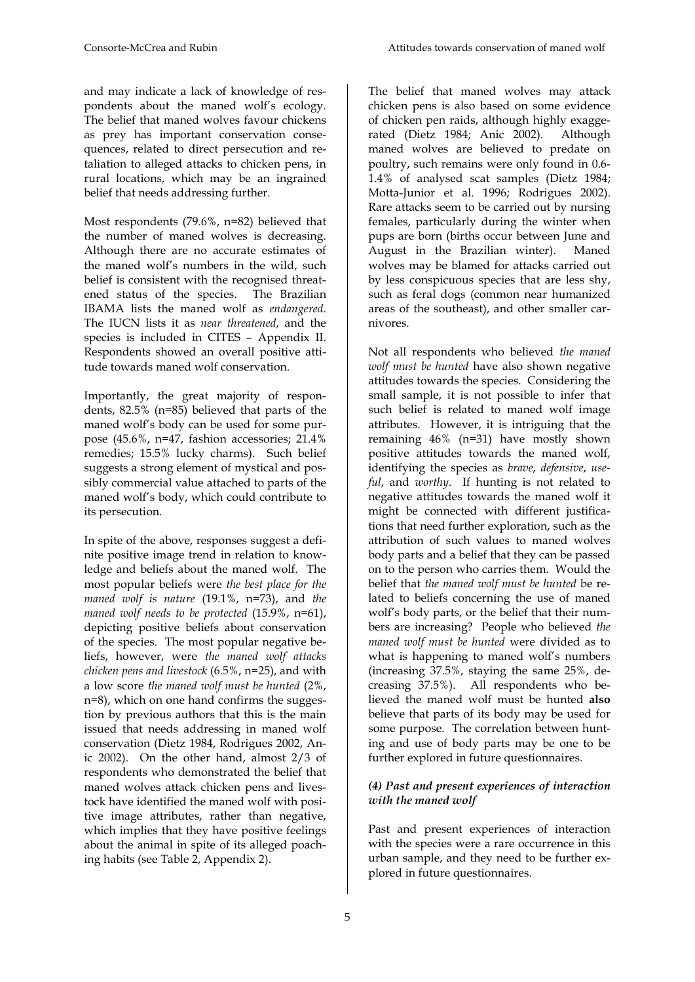and may indicate a lack of knowledge of respondents about the maned wolf's ecology. The belief that maned wolves favour chickens as prey has important conservation consequences, related to direct persecution and retaliation to alleged attacks to chicken pens, in rural locations, which may be an ingrained belief that needs addressing further.

Most respondents (79.6%, n=82) believed that the number of maned wolves is decreasing. Although there are no accurate estimates of the maned wolf's numbers in the wild, such belief is consistent with the recognised threatened status of the species. The Brazilian IBAMA lists the maned wolf as *endangered*. The IUCN lists it as *near threatened*, and the species is included in CITES – Appendix II. Respondents showed an overall positive attitude towards maned wolf conservation.

Importantly, the great majority of respondents, 82.5% (n=85) believed that parts of the maned wolf's body can be used for some purpose (45.6%, n=47, fashion accessories; 21.4% remedies; 15.5% lucky charms). Such belief suggests a strong element of mystical and possibly commercial value attached to parts of the maned wolf's body, which could contribute to its persecution.

In spite of the above, responses suggest a definite positive image trend in relation to knowledge and beliefs about the maned wolf. The most popular beliefs were *the best place for the maned wolf is nature* (19.1%, n=73), and *the maned wolf needs to be protected* (15.9%, n=61), depicting positive beliefs about conservation of the species. The most popular negative beliefs, however, were *the maned wolf attacks chicken pens and livestock* (6.5%, n=25), and with a low score *the maned wolf must be hunted* (2%, n=8), which on one hand confirms the suggestion by previous authors that this is the main issued that needs addressing in maned wolf conservation (Dietz 1984, Rodrigues 2002, Anic 2002). On the other hand, almost 2/3 of respondents who demonstrated the belief that maned wolves attack chicken pens and livestock have identified the maned wolf with positive image attributes, rather than negative, which implies that they have positive feelings about the animal in spite of its alleged poaching habits (see Table 2, Appendix 2).

The belief that maned wolves may attack chicken pens is also based on some evidence of chicken pen raids, although highly exaggerated (Dietz 1984; Anic 2002). Although maned wolves are believed to predate on poultry, such remains were only found in 0.6- 1.4% of analysed scat samples (Dietz 1984; Motta-Junior et al. 1996; Rodrigues 2002). Rare attacks seem to be carried out by nursing females, particularly during the winter when pups are born (births occur between June and August in the Brazilian winter). Maned wolves may be blamed for attacks carried out by less conspicuous species that are less shy, such as feral dogs (common near humanized areas of the southeast), and other smaller carnivores.

Not all respondents who believed *the maned wolf must be hunted* have also shown negative attitudes towards the species. Considering the small sample, it is not possible to infer that such belief is related to maned wolf image attributes. However, it is intriguing that the remaining 46% (n=31) have mostly shown positive attitudes towards the maned wolf, identifying the species as *brave*, *defensive*, *useful*, and *worthy*. If hunting is not related to negative attitudes towards the maned wolf it might be connected with different justifications that need further exploration, such as the attribution of such values to maned wolves body parts and a belief that they can be passed on to the person who carries them. Would the belief that *the maned wolf must be hunted* be related to beliefs concerning the use of maned wolf's body parts, or the belief that their numbers are increasing? People who believed *the maned wolf must be hunted* were divided as to what is happening to maned wolf's numbers (increasing 37.5%, staying the same 25%, decreasing 37.5%). All respondents who believed the maned wolf must be hunted **also** believe that parts of its body may be used for some purpose. The correlation between hunting and use of body parts may be one to be further explored in future questionnaires.

### *(4) Past and present experiences of interaction with the maned wolf*

Past and present experiences of interaction with the species were a rare occurrence in this urban sample, and they need to be further explored in future questionnaires.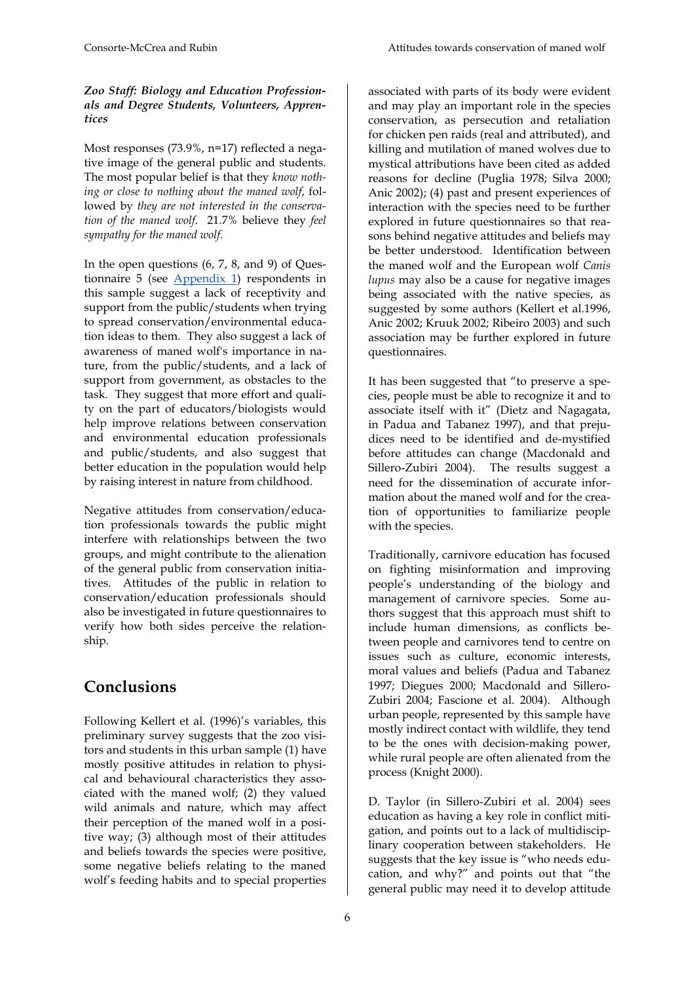### *Zoo Staff: Biology and Education Professionals and Degree Students, Volunteers, Apprentices*

Most responses (73.9%, n=17) reflected a negative image of the general public and students. The most popular belief is that they *know nothing or close to nothing about the maned wolf*, followed by *they are not interested in the conservation of the maned wolf*. 21.7% believe they *feel sympathy for the maned wolf*.

In the open questions (6, 7, 8, and 9) of Questionnaire 5 (see Appendix 1) respondents in this sample suggest a lack of receptivity and support from the public/students when trying to spread conservation/environmental education ideas to them. They also suggest a lack of awareness of maned wolf's importance in nature, from the public/students, and a lack of support from government, as obstacles to the task. They suggest that more effort and quality on the part of educators/biologists would help improve relations between conservation and environmental education professionals and public/students, and also suggest that better education in the population would help by raising interest in nature from childhood.

Negative attitudes from conservation/education professionals towards the public might interfere with relationships between the two groups, and might contribute to the alienation of the general public from conservation initiatives. Attitudes of the public in relation to conservation/education professionals should also be investigated in future questionnaires to verify how both sides perceive the relationship.

# **Conclusions**

Following Kellert et al. (1996)'s variables, this preliminary survey suggests that the zoo visitors and students in this urban sample (1) have mostly positive attitudes in relation to physical and behavioural characteristics they associated with the maned wolf; (2) they valued wild animals and nature, which may affect their perception of the maned wolf in a positive way; (3) although most of their attitudes and beliefs towards the species were positive, some negative beliefs relating to the maned wolf's feeding habits and to special properties associated with parts of its body were evident and may play an important role in the species conservation, as persecution and retaliation for chicken pen raids (real and attributed), and killing and mutilation of maned wolves due to mystical attributions have been cited as added reasons for decline (Puglia 1978; Silva 2000; Anic 2002); (4) past and present experiences of interaction with the species need to be further explored in future questionnaires so that reasons behind negative attitudes and beliefs may be better understood. Identification between the maned wolf and the European wolf *Canis lupus* may also be a cause for negative images being associated with the native species, as suggested by some authors (Kellert et al.1996, Anic 2002; Kruuk 2002; Ribeiro 2003) and such association may be further explored in future questionnaires.

It has been suggested that "to preserve a species, people must be able to recognize it and to associate itself with it" (Dietz and Nagagata, in Padua and Tabanez 1997), and that prejudices need to be identified and de-mystified before attitudes can change (Macdonald and Sillero-Zubiri 2004). The results suggest a need for the dissemination of accurate information about the maned wolf and for the creation of opportunities to familiarize people with the species.

Traditionally, carnivore education has focused on fighting misinformation and improving people's understanding of the biology and management of carnivore species. Some authors suggest that this approach must shift to include human dimensions, as conflicts between people and carnivores tend to centre on issues such as culture, economic interests, moral values and beliefs (Padua and Tabanez 1997; Diegues 2000; Macdonald and Sillero-Zubiri 2004; Fascione et al. 2004). Although urban people, represented by this sample have mostly indirect contact with wildlife, they tend to be the ones with decision-making power, while rural people are often alienated from the process (Knight 2000).

D. Taylor (in Sillero-Zubiri et al. 2004) sees education as having a key role in conflict mitigation, and points out to a lack of multidisciplinary cooperation between stakeholders. He suggests that the key issue is "who needs education, and why?" and points out that "the general public may need it to develop attitude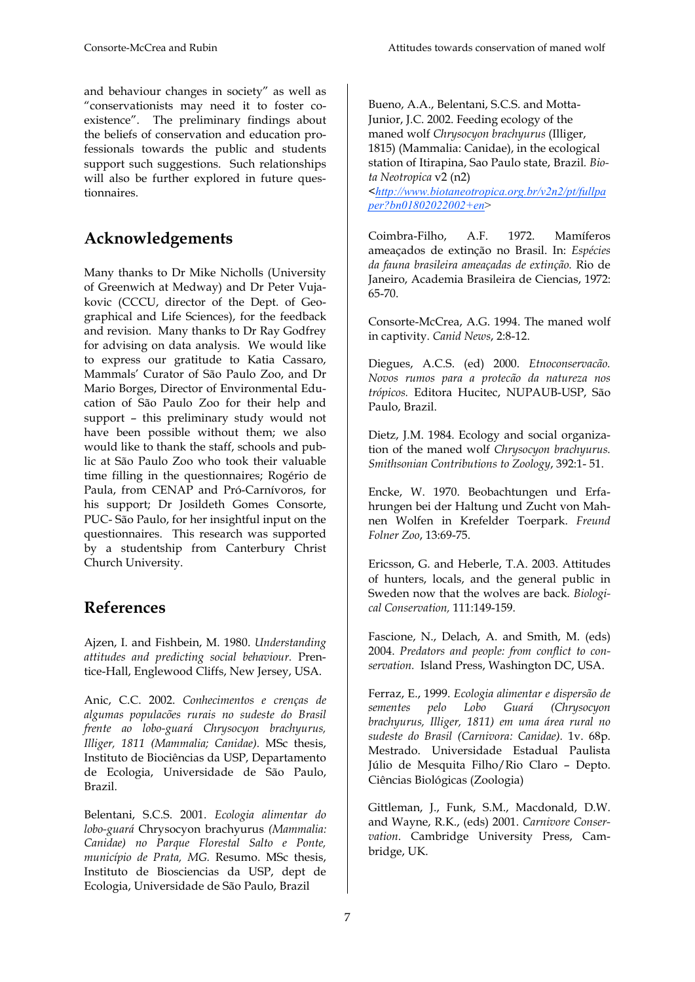and behaviour changes in society" as well as "conservationists may need it to foster coexistence". The preliminary findings about the beliefs of conservation and education professionals towards the public and students support such suggestions. Such relationships will also be further explored in future questionnaires.

# **Acknowledgements**

Many thanks to Dr Mike Nicholls (University of Greenwich at Medway) and Dr Peter Vujakovic (CCCU, director of the Dept. of Geographical and Life Sciences), for the feedback and revision. Many thanks to Dr Ray Godfrey for advising on data analysis. We would like to express our gratitude to Katia Cassaro, Mammals' Curator of São Paulo Zoo, and Dr Mario Borges, Director of Environmental Education of São Paulo Zoo for their help and support – this preliminary study would not have been possible without them; we also would like to thank the staff, schools and public at São Paulo Zoo who took their valuable time filling in the questionnaires; Rogério de Paula, from CENAP and Pró-Carnívoros, for his support; Dr Josildeth Gomes Consorte, PUC- São Paulo, for her insightful input on the questionnaires. This research was supported by a studentship from Canterbury Christ Church University.

# **References**

Ajzen, I. and Fishbein, M. 1980. *Understanding attitudes and predicting social behaviour.* Prentice-Hall, Englewood Cliffs, New Jersey, USA.

Anic, C.C. 2002. *Conhecimentos e crenças de algumas populacões rurais no sudeste do Brasil frente ao lobo-guará Chrysocyon brachyurus, Illiger, 1811 (Mammalia; Canidae).* MSc thesis, Instituto de Biociências da USP, Departamento de Ecologia, Universidade de São Paulo, Brazil.

Belentani, S.C.S. 2001. *Ecologia alimentar do lobo-guará* Chrysocyon brachyurus *(Mammalia: Canidae) no Parque Florestal Salto e Ponte, município de Prata, MG.* Resumo. MSc thesis, Instituto de Biosciencias da USP, dept de Ecologia, Universidade de São Paulo, Brazil

Bueno, A.A., Belentani, S.C.S. and Motta-Junior, J.C. 2002. Feeding ecology of the maned wolf *Chrysocyon brachyurus* (Illiger, 1815) (Mammalia: Canidae), in the ecological station of Itirapina, Sao Paulo state, Brazil*. Biota Neotropica* v2 (n2)

<*http://www.biotaneotropica.org.br/v2n2/pt/fullpa per?bn01802022002+en*>

Coimbra-Filho, A.F. 1972. Mamíferos ameaçados de extinção no Brasil. In: *Espécies da fauna brasileira ameaçadas de extinção.* Rio de Janeiro, Academia Brasileira de Ciencias, 1972: 65-70.

Consorte-McCrea, A.G. 1994. The maned wolf in captivity. *Canid News*, 2:8-12.

Diegues, A.C.S. (ed) 2000. *Etnoconservacão. Novos rumos para a protecão da natureza nos trópicos.* Editora Hucitec, NUPAUB-USP, São Paulo, Brazil.

Dietz, J.M. 1984. Ecology and social organization of the maned wolf *Chrysocyon brachyurus. Smithsonian Contributions to Zoology*, 392:1- 51.

Encke, W. 1970. Beobachtungen und Erfahrungen bei der Haltung und Zucht von Mahnen Wolfen in Krefelder Toerpark. *Freund Folner Zoo*, 13:69-75.

Ericsson, G. and Heberle, T.A. 2003. Attitudes of hunters, locals, and the general public in Sweden now that the wolves are back*. Biological Conservation,* 111:149-159.

Fascione, N., Delach, A. and Smith, M. (eds) 2004. *Predators and people: from conflict to conservation.* Island Press, Washington DC, USA.

Ferraz, E., 1999. *Ecologia alimentar e dispersão de sementes pelo Lobo Guará (Chrysocyon brachyurus, Illiger, 1811) em uma área rural no sudeste do Brasil (Carnivora: Canidae).* 1v. 68p. Mestrado. Universidade Estadual Paulista Júlio de Mesquita Filho/Rio Claro – Depto. Ciências Biológicas (Zoologia)

Gittleman, J., Funk, S.M., Macdonald, D.W. and Wayne, R.K., (eds) 2001. *Carnivore Conservation*. Cambridge University Press, Cambridge, UK.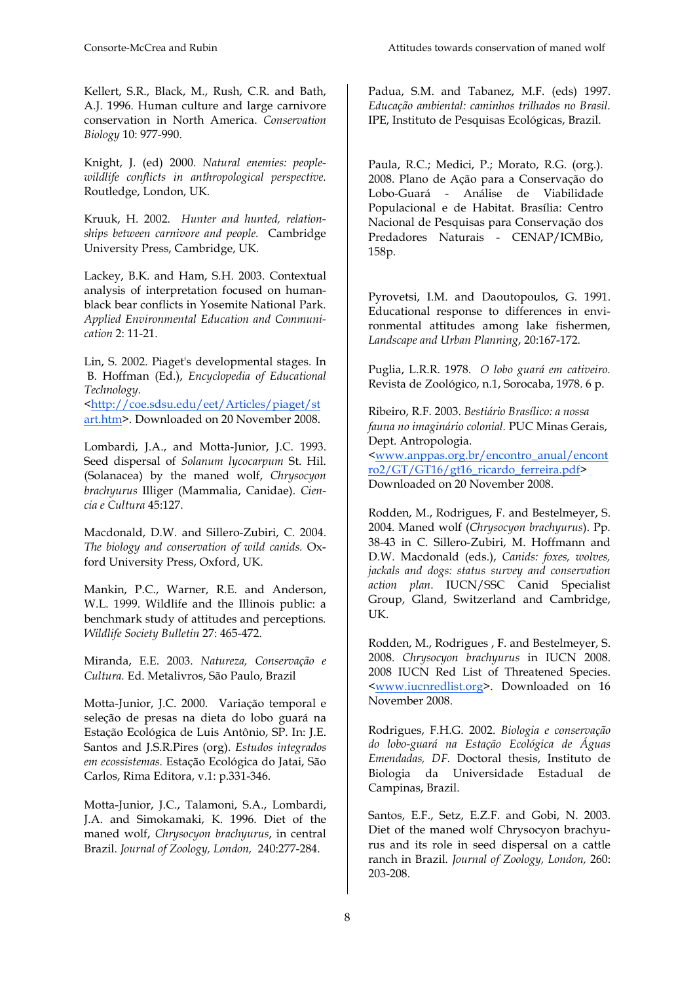Kellert, S.R., Black, M., Rush, C.R. and Bath, A.J. 1996. Human culture and large carnivore conservation in North America. *Conservation Biology* 10: 977-990.

Knight, J. (ed) 2000. *Natural enemies: peoplewildlife conflicts in anthropological perspective.* Routledge, London, UK.

Kruuk, H. 2002. *Hunter and hunted, relationships between carnivore and people.* Cambridge University Press, Cambridge, UK.

Lackey, B.K. and Ham, S.H. 2003. Contextual analysis of interpretation focused on humanblack bear conflicts in Yosemite National Park. *Applied Environmental Education and Communication* 2: 11-21.

Lin, S. 2002. Piaget's developmental stages. In B. Hoffman (Ed.), *Encyclopedia of Educational Technology.* <http://coe.sdsu.edu/eet/Articles/piaget/st art.htm>. Downloaded on 20 November 2008.

Lombardi, J.A., and Motta-Junior, J.C. 1993. Seed dispersal of *Solanum lycocarpum* St. Hil. (Solanacea) by the maned wolf, *Chrysocyon brachyurus* Illiger (Mammalia, Canidae). *Ciencia e Cultura* 45:127.

Macdonald, D.W. and Sillero-Zubiri, C. 2004. *The biology and conservation of wild canids.* Oxford University Press, Oxford, UK.

Mankin, P.C., Warner, R.E. and Anderson, W.L. 1999. Wildlife and the Illinois public: a benchmark study of attitudes and perceptions*. Wildlife Society Bulletin* 27: 465-472.

Miranda, E.E. 2003. *Natureza, Conservação e Cultura.* Ed. Metalivros, São Paulo, Brazil

Motta-Junior, J.C. 2000. Variação temporal e seleção de presas na dieta do lobo guará na Estação Ecológica de Luis Antônio, SP. In: J.E. Santos and J.S.R.Pires (org). *Estudos integrados em ecossistemas.* Estação Ecológica do Jatai, São Carlos, Rima Editora, v.1: p.331-346.

Motta-Junior, J.C., Talamoni, S.A., Lombardi, J.A. and Simokamaki, K. 1996. Diet of the maned wolf, *Chrysocyon brachyurus*, in central Brazil. *Journal of Zoology, London,* 240:277-284.

Padua, S.M. and Tabanez, M.F. (eds) 1997. *Educação ambiental: caminhos trilhados no Brasil*. IPE, Instituto de Pesquisas Ecológicas, Brazil.

Paula, R.C.; Medici, P.; Morato, R.G. (org.). 2008. Plano de Ação para a Conservação do Lobo-Guará - Análise de Viabilidade Populacional e de Habitat. Brasília: Centro Nacional de Pesquisas para Conservação dos Predadores Naturais - CENAP/ICMBio, 158p.

Pyrovetsi, I.M. and Daoutopoulos, G. 1991. Educational response to differences in environmental attitudes among lake fishermen, *Landscape and Urban Planning*, 20:167-172.

Puglia, L.R.R. 1978. *O lobo guará em cativeiro.*  Revista de Zoológico, n.1, Sorocaba, 1978. 6 p.

Ribeiro, R.F. 2003. *Bestiário Brasílico: a nossa fauna no imaginário colonial.* PUC Minas Gerais, Dept. Antropologia. <www.anppas.org.br/encontro\_anual/encont ro2/GT/GT16/gt16\_ricardo\_ferreira.pdf*>*  Downloaded on 20 November 2008.

Rodden, M., Rodrigues, F. and Bestelmeyer, S. 2004. Maned wolf (*Chrysocyon brachyurus*). Pp. 38-43 in C. Sillero-Zubiri, M. Hoffmann and D.W. Macdonald (eds.), *Canids: foxes, wolves, jackals and dogs: status survey and conservation action plan*. IUCN/SSC Canid Specialist Group, Gland, Switzerland and Cambridge, UK.

Rodden, M., Rodrigues , F. and Bestelmeyer, S. 2008. *Chrysocyon brachyurus* in IUCN 2008. 2008 IUCN Red List of Threatened Species. <www.iucnredlist.org>. Downloaded on 16 November 2008.

Rodrigues, F.H.G. 2002. *Biologia e conservação do lobo-guará na Estação Ecológica de Águas Emendadas, DF.* Doctoral thesis, Instituto de Biologia da Universidade Estadual de Campinas, Brazil.

Santos, E.F., Setz, E.Z.F. and Gobi, N. 2003. Diet of the maned wolf Chrysocyon brachyurus and its role in seed dispersal on a cattle ranch in Brazil*. Journal of Zoology, London,* 260: 203-208.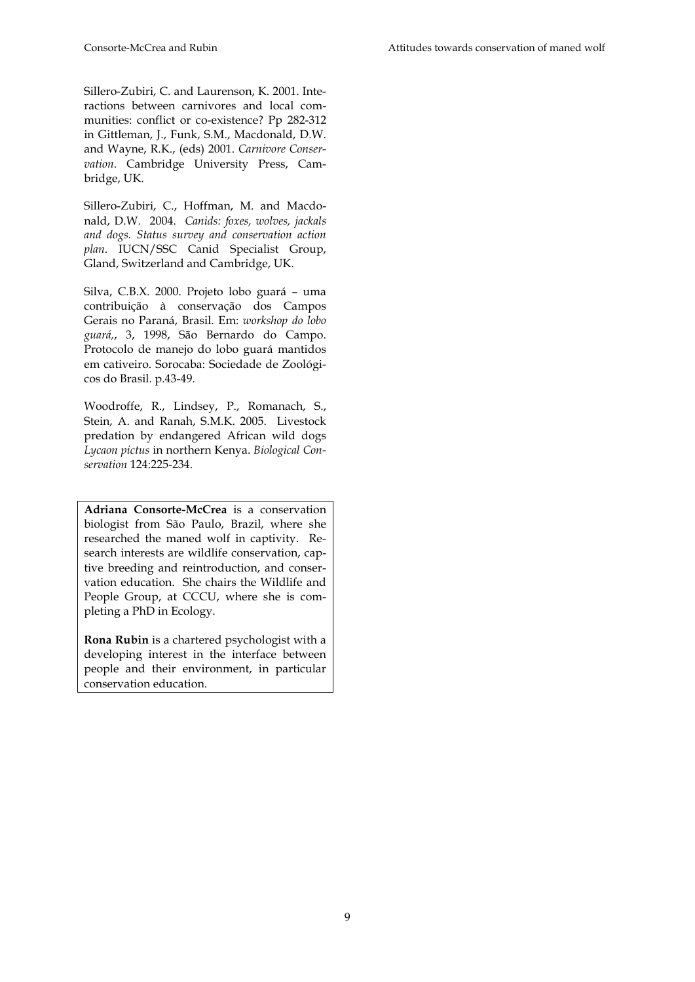Sillero-Zubiri, C. and Laurenson, K. 2001. Interactions between carnivores and local communities: conflict or co-existence? Pp 282-312 in Gittleman, J., Funk, S.M., Macdonald, D.W. and Wayne, R.K., (eds) 2001. *Carnivore Conservation*. Cambridge University Press, Cambridge, UK.

Sillero-Zubiri, C., Hoffman, M. and Macdonald, D.W. 2004. *Canids: foxes, wolves, jackals and dogs. Status survey and conservation action plan*. IUCN/SSC Canid Specialist Group, Gland, Switzerland and Cambridge, UK.

Silva, C.B.X. 2000. Projeto lobo guará – uma contribuição à conservação dos Campos Gerais no Paraná, Brasil. Em: *workshop do lobo guará,*, 3, 1998, São Bernardo do Campo. Protocolo de manejo do lobo guará mantidos em cativeiro. Sorocaba: Sociedade de Zoológicos do Brasil. p.43-49.

Woodroffe, R., Lindsey, P., Romanach, S., Stein, A. and Ranah, S.M.K. 2005. Livestock predation by endangered African wild dogs *Lycaon pictus* in northern Kenya. *Biological Conservation* 124:225-234.

**Adriana Consorte-McCrea** is a conservation biologist from São Paulo, Brazil, where she researched the maned wolf in captivity. Research interests are wildlife conservation, captive breeding and reintroduction, and conservation education. She chairs the Wildlife and People Group, at CCCU, where she is completing a PhD in Ecology.

**Rona Rubin** is a chartered psychologist with a developing interest in the interface between people and their environment, in particular conservation education.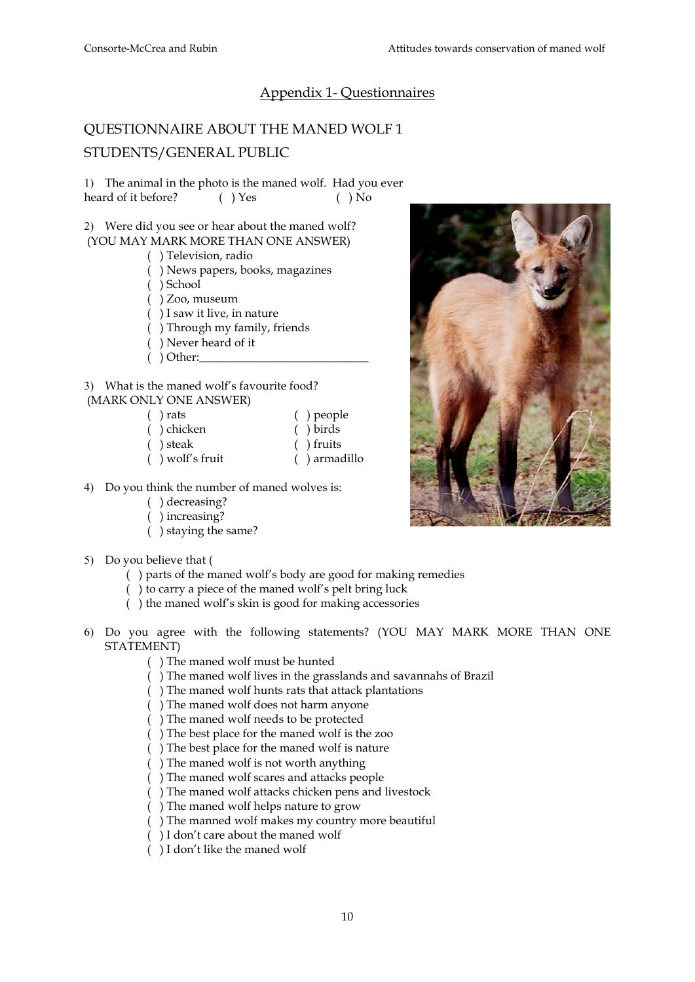## Appendix 1- Questionnaires

## QUESTIONNAIRE ABOUT THE MANED WOLF 1 STUDENTS/GENERAL PUBLIC

1) The animal in the photo is the maned wolf. Had you ever heard of it before? ( ) Yes ( ) No

2) Were did you see or hear about the maned wolf? (YOU MAY MARK MORE THAN ONE ANSWER)

- ( ) Television, radio
- ( ) News papers, books, magazines
- ( ) School
- ( ) Zoo, museum
- ( ) I saw it live, in nature
- ( ) Through my family, friends
- ( ) Never heard of it
- $($   $)$  Other:

3) What is the maned wolf's favourite food? (MARK ONLY ONE ANSWER)

| $( )$ rats         | $( )$ people    |
|--------------------|-----------------|
| () chicken         | $()$ birds      |
| ( ) steak          | $( )$ fruits    |
| $( )$ wolf's fruit | $( )$ armadillo |

- 4) Do you think the number of maned wolves is:
	- ( ) decreasing?
	- ( ) increasing?
	- ( ) staying the same?

### 5) Do you believe that (

- ( ) parts of the maned wolf's body are good for making remedies
- ( ) to carry a piece of the maned wolf's pelt bring luck
- ( ) the maned wolf's skin is good for making accessories
- 6) Do you agree with the following statements? (YOU MAY MARK MORE THAN ONE STATEMENT)
	- ( ) The maned wolf must be hunted
	- ( ) The maned wolf lives in the grasslands and savannahs of Brazil
	- ( ) The maned wolf hunts rats that attack plantations
	- ( ) The maned wolf does not harm anyone
	- ( ) The maned wolf needs to be protected
	- ( ) The best place for the maned wolf is the zoo
	- ( ) The best place for the maned wolf is nature
	- ( ) The maned wolf is not worth anything
	- ( ) The maned wolf scares and attacks people
	- ( ) The maned wolf attacks chicken pens and livestock
	- ( ) The maned wolf helps nature to grow
	- ( ) The manned wolf makes my country more beautiful
	- ( ) I don't care about the maned wolf
	- ( ) I don't like the maned wolf

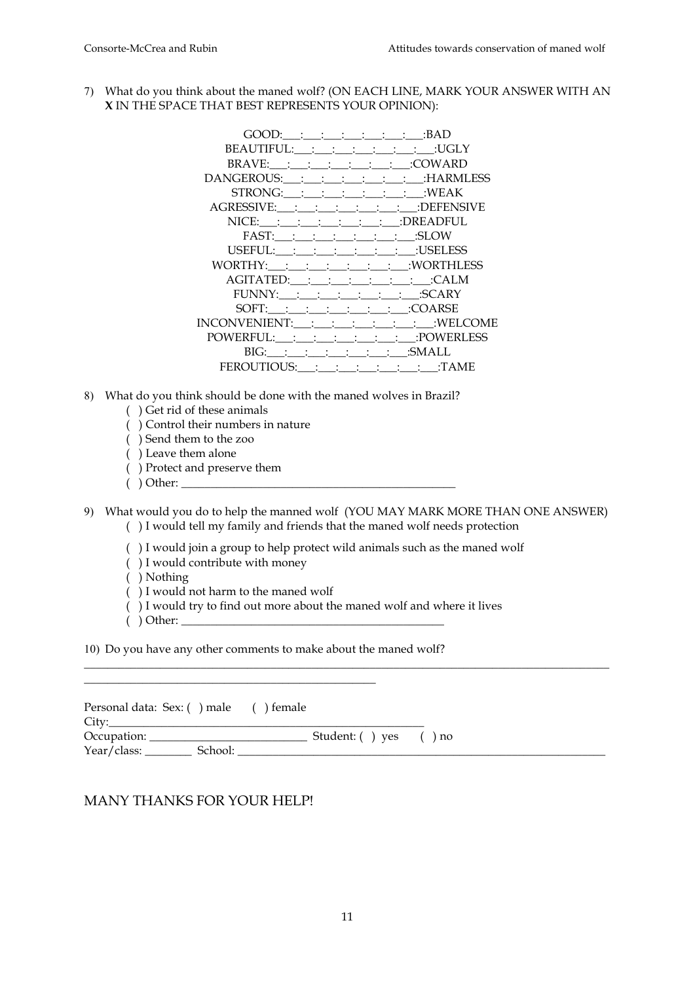7) What do you think about the maned wolf? (ON EACH LINE, MARK YOUR ANSWER WITH AN **X** IN THE SPACE THAT BEST REPRESENTS YOUR OPINION):

| BEAUTIFUL: : : : : : : : : : : : : : : UGLY        |
|----------------------------------------------------|
|                                                    |
| DANGEROUS:___:___:___:___:___:___:___:HARMLESS     |
| STRONG: __: __: __: __: __: __: __: WEAK           |
| AGRESSIVE: : : : : : : : : : : : : : : : DEFENSIVE |
| $NICE:$ : : : : : : : : : : : : : : : DREADFUL     |
|                                                    |
| USEFUL:__:__:__:__:__:__:__:__:__:USELESS          |
| WORTHY: __: __: __: __: __: __: __:  WORTHLESS     |
| AGITATED: : : : : : : : : : : : : CALM             |
| FUNNY:___:___:___:___:___:___:___:SCARY            |
|                                                    |
| INCONVENIENT:___:___:___:___:___:___:___:WELCOME   |
| POWERFUL:___:___:___:___:___:___:___:POWERLESS     |
| BIG: ___: ___: ___: ___: ___: ___: ___: SMALL      |
| FEROUTIOUS: : : : : : : : : : : : TAME             |

- 8) What do you think should be done with the maned wolves in Brazil?
	- ( ) Get rid of these animals
	- ( ) Control their numbers in nature
	- ( ) Send them to the zoo
	- ( ) Leave them alone
	- ( ) Protect and preserve them
	- $( )$  Other:
- 9) What would you do to help the manned wolf (YOU MAY MARK MORE THAN ONE ANSWER) ( ) I would tell my family and friends that the maned wolf needs protection

\_\_\_\_\_\_\_\_\_\_\_\_\_\_\_\_\_\_\_\_\_\_\_\_\_\_\_\_\_\_\_\_\_\_\_\_\_\_\_\_\_\_\_\_\_\_\_\_\_\_\_\_\_\_\_\_\_\_\_\_\_\_\_\_\_\_\_\_\_\_\_\_\_\_\_\_\_\_\_\_\_\_\_\_\_\_\_\_\_\_

- ( ) I would join a group to help protect wild animals such as the maned wolf
- ( ) I would contribute with money
- ( ) Nothing
- ( ) I would not harm to the maned wolf

\_\_\_\_\_\_\_\_\_\_\_\_\_\_\_\_\_\_\_\_\_\_\_\_\_\_\_\_\_\_\_\_\_\_\_\_\_\_\_\_\_\_\_\_\_\_\_\_\_\_

- ( ) I would try to find out more about the maned wolf and where it lives
- $( )$  Other:

10) Do you have any other comments to make about the maned wolf?

| Personal data: Sex: () male () female |                       |  |
|---------------------------------------|-----------------------|--|
| City:                                 |                       |  |
|                                       | Student: () yes () no |  |
|                                       |                       |  |

### MANY THANKS FOR YOUR HELP!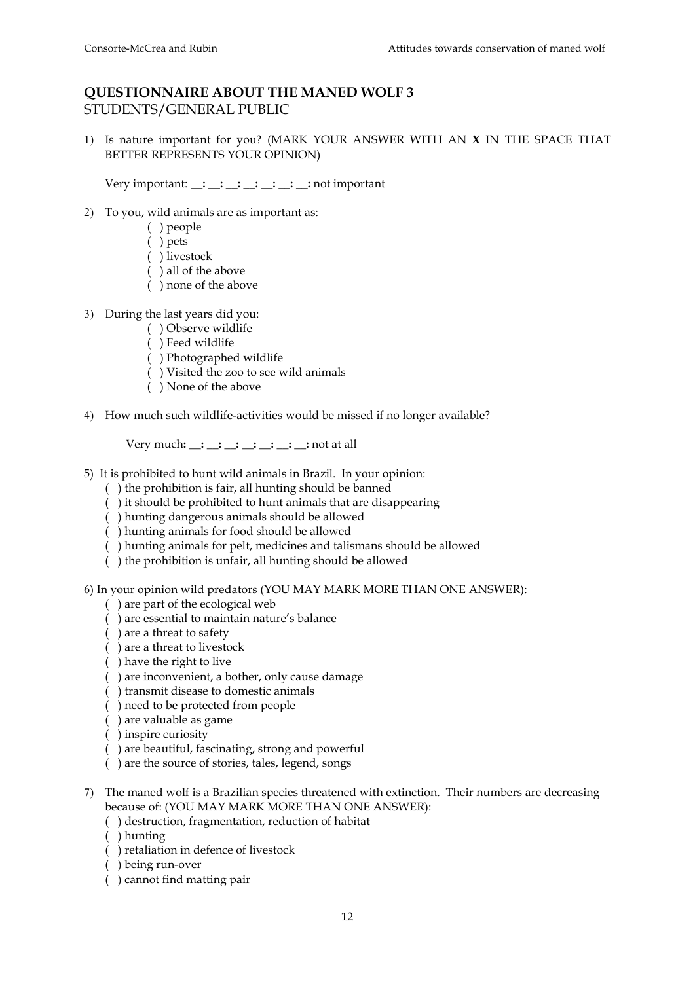## **QUESTIONNAIRE ABOUT THE MANED WOLF 3**  STUDENTS/GENERAL PUBLIC

1) Is nature important for you? (MARK YOUR ANSWER WITH AN **X** IN THE SPACE THAT BETTER REPRESENTS YOUR OPINION)

Very important: **\_\_: \_\_: \_\_: \_\_: \_\_: \_\_: \_\_:** not important

- 2) To you, wild animals are as important as:
	- ( ) people
	- ( ) pets
	- ( ) livestock
	- ( ) all of the above
	- ( ) none of the above
- 3) During the last years did you:
	- ( ) Observe wildlife
	- ( ) Feed wildlife
	- ( ) Photographed wildlife
	- ( ) Visited the zoo to see wild animals
	- ( ) None of the above
- 4) How much such wildlife-activities would be missed if no longer available?

Very much**: \_\_: \_\_: \_\_: \_\_: \_\_: \_\_: \_\_:** not at all

- 5) It is prohibited to hunt wild animals in Brazil. In your opinion:
	- ( ) the prohibition is fair, all hunting should be banned
	- ( ) it should be prohibited to hunt animals that are disappearing
	- ( ) hunting dangerous animals should be allowed
	- ( ) hunting animals for food should be allowed
	- ( ) hunting animals for pelt, medicines and talismans should be allowed
	- ( ) the prohibition is unfair, all hunting should be allowed

6) In your opinion wild predators (YOU MAY MARK MORE THAN ONE ANSWER):

- ( ) are part of the ecological web
- ( ) are essential to maintain nature's balance
- ( ) are a threat to safety
- ( ) are a threat to livestock
- ( ) have the right to live
- ( ) are inconvenient, a bother, only cause damage
- ( ) transmit disease to domestic animals
- ( ) need to be protected from people
- ( ) are valuable as game
- ( ) inspire curiosity
- ( ) are beautiful, fascinating, strong and powerful
- ( ) are the source of stories, tales, legend, songs
- 7) The maned wolf is a Brazilian species threatened with extinction. Their numbers are decreasing because of: (YOU MAY MARK MORE THAN ONE ANSWER):
	- ( ) destruction, fragmentation, reduction of habitat
	- ( ) hunting
	- ( ) retaliation in defence of livestock
	- ( ) being run-over
	- ( ) cannot find matting pair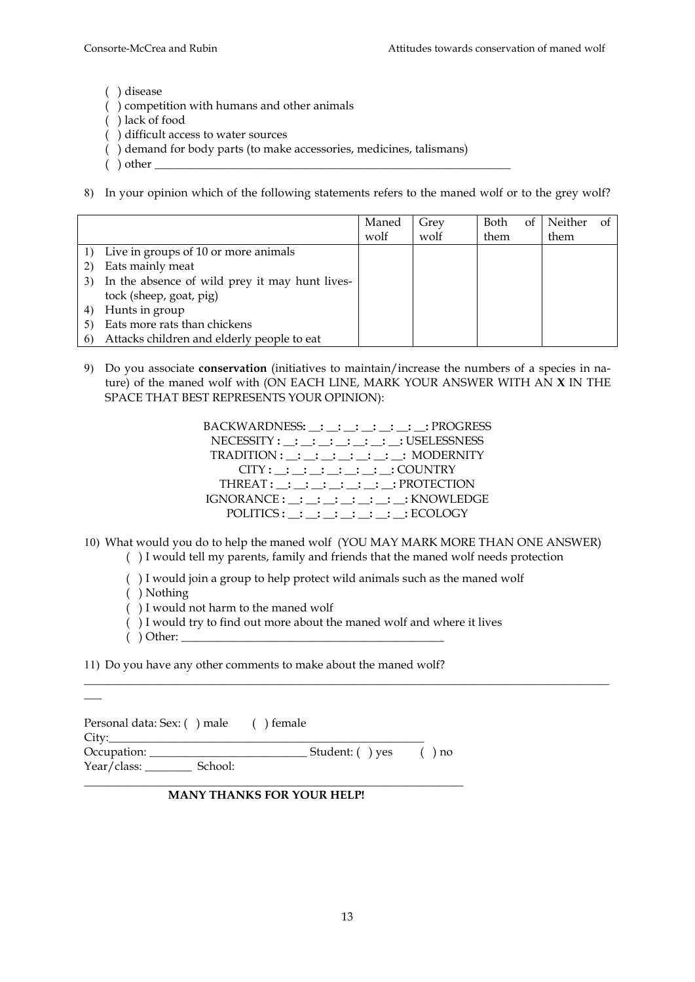( ) disease

- ( ) competition with humans and other animals
- ( ) lack of food
- ( ) difficult access to water sources
- ( ) demand for body parts (to make accessories, medicines, talismans)
- $( )$  other
- 8) In your opinion which of the following statements refers to the maned wolf or to the grey wolf?

|    |                                                | Maned | Grey | Both | οt | Neither | Ωt |
|----|------------------------------------------------|-------|------|------|----|---------|----|
|    |                                                | wolf  | wolf | them |    | them    |    |
|    | Live in groups of 10 or more animals           |       |      |      |    |         |    |
|    | Eats mainly meat                               |       |      |      |    |         |    |
| 3) | In the absence of wild prey it may hunt lives- |       |      |      |    |         |    |
|    | tock (sheep, goat, pig)                        |       |      |      |    |         |    |
|    | Hunts in group                                 |       |      |      |    |         |    |
|    | Eats more rats than chickens                   |       |      |      |    |         |    |
|    | Attacks children and elderly people to eat     |       |      |      |    |         |    |

- 9) Do you associate **conservation** (initiatives to maintain/increase the numbers of a species in nature) of the maned wolf with (ON EACH LINE, MARK YOUR ANSWER WITH AN **X** IN THE SPACE THAT BEST REPRESENTS YOUR OPINION):
	- BACKWARDNESS**: \_\_: \_\_: \_\_: \_\_: \_\_: \_\_: \_\_:** PROGRESS NECESSITY: : : : : : : USELESSNESS TRADITION **: \_\_: \_\_: \_\_: \_\_: \_\_: \_\_: \_\_:** MODERNITY CITY **: \_\_: \_\_: \_\_: \_\_: \_\_: \_\_: \_\_:** COUNTRY THREAT **: \_\_: \_\_: \_\_: \_\_: \_\_: \_\_: \_\_:** PROTECTION IGNORANCE **: \_\_: \_\_: \_\_: \_\_: \_\_: \_\_: \_\_:** KNOWLEDGE POLITICS **: \_\_: \_\_: \_\_: \_\_: \_\_: \_\_: \_\_:** ECOLOGY

10) What would you do to help the maned wolf (YOU MAY MARK MORE THAN ONE ANSWER) ( ) I would tell my parents, family and friends that the maned wolf needs protection

\_\_\_\_\_\_\_\_\_\_\_\_\_\_\_\_\_\_\_\_\_\_\_\_\_\_\_\_\_\_\_\_\_\_\_\_\_\_\_\_\_\_\_\_\_\_\_\_\_\_\_\_\_\_\_\_\_\_\_\_\_\_\_\_\_\_\_\_\_\_\_\_\_\_\_\_\_\_\_\_\_\_\_\_\_\_\_\_\_\_

( ) I would join a group to help protect wild animals such as the maned wolf

( ) Nothing

\_\_\_

- ( ) I would not harm to the maned wolf
- ( ) I would try to find out more about the maned wolf and where it lives
- $( )$  Other:

11) Do you have any other comments to make about the maned wolf?

| Personal data: Sex: () male () female<br>City: |                 |          |
|------------------------------------------------|-----------------|----------|
|                                                | Student: () yes | $(n)$ no |
|                                                |                 |          |

### **MANY THANKS FOR YOUR HELP!**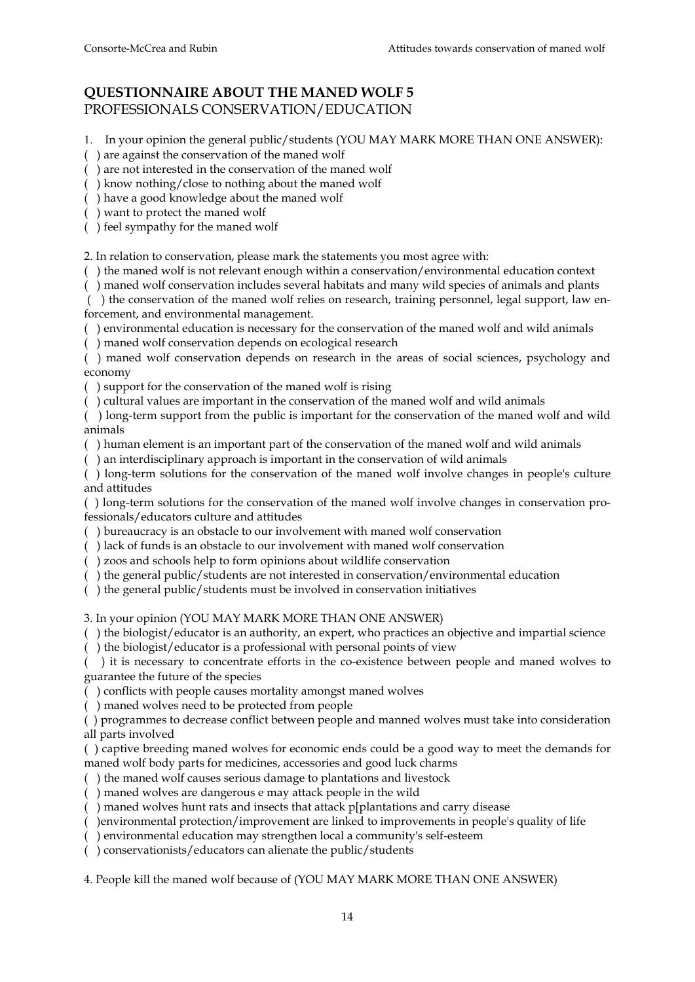## **QUESTIONNAIRE ABOUT THE MANED WOLF 5** PROFESSIONALS CONSERVATION/EDUCATION

1. In your opinion the general public/students (YOU MAY MARK MORE THAN ONE ANSWER):

( ) are against the conservation of the maned wolf

( ) are not interested in the conservation of the maned wolf

( ) know nothing/close to nothing about the maned wolf

( ) have a good knowledge about the maned wolf

( ) want to protect the maned wolf

( ) feel sympathy for the maned wolf

2. In relation to conservation, please mark the statements you most agree with:

( ) the maned wolf is not relevant enough within a conservation/environmental education context

( ) maned wolf conservation includes several habitats and many wild species of animals and plants

 ( ) the conservation of the maned wolf relies on research, training personnel, legal support, law enforcement, and environmental management.

( ) environmental education is necessary for the conservation of the maned wolf and wild animals

( ) maned wolf conservation depends on ecological research

( ) maned wolf conservation depends on research in the areas of social sciences, psychology and economy

( ) support for the conservation of the maned wolf is rising

( ) cultural values are important in the conservation of the maned wolf and wild animals

( ) long-term support from the public is important for the conservation of the maned wolf and wild animals

( ) human element is an important part of the conservation of the maned wolf and wild animals

( ) an interdisciplinary approach is important in the conservation of wild animals

( ) long-term solutions for the conservation of the maned wolf involve changes in people's culture and attitudes

( ) long-term solutions for the conservation of the maned wolf involve changes in conservation professionals/educators culture and attitudes

( ) bureaucracy is an obstacle to our involvement with maned wolf conservation

( ) lack of funds is an obstacle to our involvement with maned wolf conservation

( ) zoos and schools help to form opinions about wildlife conservation

( ) the general public/students are not interested in conservation/environmental education

( ) the general public/students must be involved in conservation initiatives

3. In your opinion (YOU MAY MARK MORE THAN ONE ANSWER)

( ) the biologist/educator is an authority, an expert, who practices an objective and impartial science

( ) the biologist/educator is a professional with personal points of view

( ) it is necessary to concentrate efforts in the co-existence between people and maned wolves to guarantee the future of the species

( ) conflicts with people causes mortality amongst maned wolves

( ) maned wolves need to be protected from people

( ) programmes to decrease conflict between people and manned wolves must take into consideration all parts involved

( ) captive breeding maned wolves for economic ends could be a good way to meet the demands for maned wolf body parts for medicines, accessories and good luck charms

( ) the maned wolf causes serious damage to plantations and livestock

( ) maned wolves are dangerous e may attack people in the wild

( ) maned wolves hunt rats and insects that attack p[plantations and carry disease

( )environmental protection/improvement are linked to improvements in people's quality of life

( ) environmental education may strengthen local a community's self-esteem

( ) conservationists/educators can alienate the public/students

4. People kill the maned wolf because of (YOU MAY MARK MORE THAN ONE ANSWER)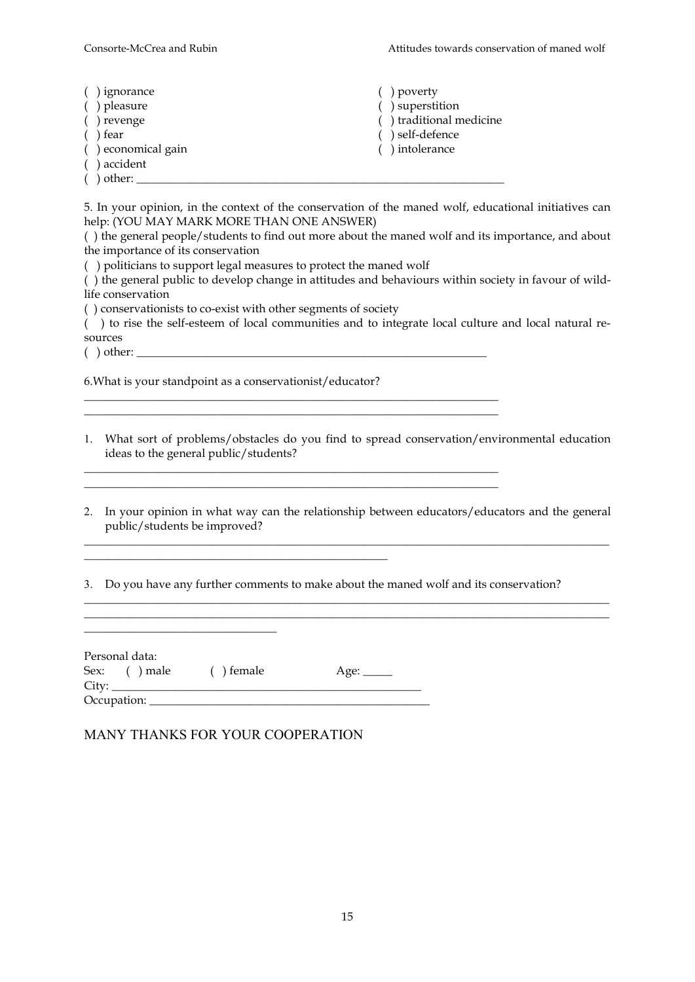| ) ignorance<br>) pleasure | ) poverty<br>) superstition |
|---------------------------|-----------------------------|
| ) revenge                 | () traditional medicine     |
| ) fear                    | ) self-defence              |
| () economical gain        | ) intolerance               |
| ) accident                |                             |
| ) other:                  |                             |

5. In your opinion, in the context of the conservation of the maned wolf, educational initiatives can help: (YOU MAY MARK MORE THAN ONE ANSWER)

( ) the general people/students to find out more about the maned wolf and its importance, and about the importance of its conservation

( ) politicians to support legal measures to protect the maned wolf

( ) the general public to develop change in attitudes and behaviours within society in favour of wildlife conservation

( ) conservationists to co-exist with other segments of society

( ) to rise the self-esteem of local communities and to integrate local culture and local natural resources

 $( )$  other:

6.What is your standpoint as a conservationist/educator?

1. What sort of problems/obstacles do you find to spread conservation/environmental education ideas to the general public/students?

\_\_\_\_\_\_\_\_\_\_\_\_\_\_\_\_\_\_\_\_\_\_\_\_\_\_\_\_\_\_\_\_\_\_\_\_\_\_\_\_\_\_\_\_\_\_\_\_\_\_\_\_\_\_\_\_\_\_\_\_\_\_\_\_\_\_\_\_\_\_\_

2. In your opinion in what way can the relationship between educators/educators and the general public/students be improved?

\_\_\_\_\_\_\_\_\_\_\_\_\_\_\_\_\_\_\_\_\_\_\_\_\_\_\_\_\_\_\_\_\_\_\_\_\_\_\_\_\_\_\_\_\_\_\_\_\_\_\_\_\_\_\_\_\_\_\_\_\_\_\_\_\_\_\_\_\_\_\_\_\_\_\_\_\_\_\_\_\_\_\_\_\_\_\_\_\_\_

 $\_$  ,  $\_$  ,  $\_$  ,  $\_$  ,  $\_$  ,  $\_$  ,  $\_$  ,  $\_$  ,  $\_$  ,  $\_$  ,  $\_$  ,  $\_$  ,  $\_$  ,  $\_$  ,  $\_$  ,  $\_$  ,  $\_$  ,  $\_$  ,  $\_$  ,  $\_$  ,  $\_$  ,  $\_$  ,  $\_$  ,  $\_$  ,  $\_$  ,  $\_$  ,  $\_$  ,  $\_$  ,  $\_$  ,  $\_$  ,  $\_$  ,  $\_$  ,  $\_$  ,  $\_$  ,  $\_$  ,  $\_$  ,  $\_$  ,

3. Do you have any further comments to make about the maned wolf and its conservation?

\_\_\_\_\_\_\_\_\_\_\_\_\_\_\_\_\_\_\_\_\_\_\_\_\_\_\_\_\_\_\_\_\_\_\_\_\_\_\_\_\_\_\_\_\_\_\_\_\_\_\_\_\_\_\_\_\_\_\_\_\_\_\_\_\_\_\_\_\_\_\_

| Personal data: |            |                      |
|----------------|------------|----------------------|
| Sex: () male   | ( ) female | Age: $\qquad \qquad$ |
|                |            |                      |
| Occupation:    |            |                      |

### MANY THANKS FOR YOUR COOPERATION

 $\_$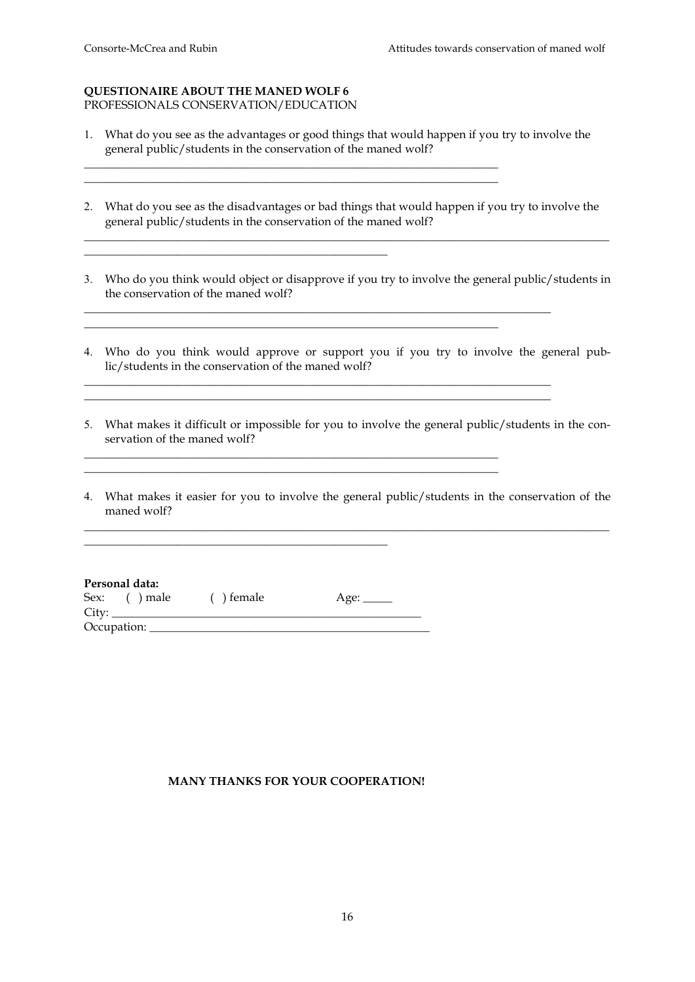#### **QUESTIONAIRE ABOUT THE MANED WOLF 6**  PROFESSIONALS CONSERVATION/EDUCATION

\_\_\_\_\_\_\_\_\_\_\_\_\_\_\_\_\_\_\_\_\_\_\_\_\_\_\_\_\_\_\_\_\_\_\_\_\_\_\_\_\_\_\_\_\_\_\_\_\_\_\_\_

1. What do you see as the advantages or good things that would happen if you try to involve the general public/students in the conservation of the maned wolf?

\_\_\_\_\_\_\_\_\_\_\_\_\_\_\_\_\_\_\_\_\_\_\_\_\_\_\_\_\_\_\_\_\_\_\_\_\_\_\_\_\_\_\_\_\_\_\_\_\_\_\_\_\_\_\_\_\_\_\_\_\_\_\_\_\_\_\_\_\_\_\_ \_\_\_\_\_\_\_\_\_\_\_\_\_\_\_\_\_\_\_\_\_\_\_\_\_\_\_\_\_\_\_\_\_\_\_\_\_\_\_\_\_\_\_\_\_\_\_\_\_\_\_\_\_\_\_\_\_\_\_\_\_\_\_\_\_\_\_\_\_\_\_

2. What do you see as the disadvantages or bad things that would happen if you try to involve the general public/students in the conservation of the maned wolf?

\_\_\_\_\_\_\_\_\_\_\_\_\_\_\_\_\_\_\_\_\_\_\_\_\_\_\_\_\_\_\_\_\_\_\_\_\_\_\_\_\_\_\_\_\_\_\_\_\_\_\_\_\_\_\_\_\_\_\_\_\_\_\_\_\_\_\_\_\_\_\_\_\_\_\_\_\_\_\_\_\_\_\_\_\_\_\_\_\_\_

3. Who do you think would object or disapprove if you try to involve the general public/students in the conservation of the maned wolf?

\_\_\_\_\_\_\_\_\_\_\_\_\_\_\_\_\_\_\_\_\_\_\_\_\_\_\_\_\_\_\_\_\_\_\_\_\_\_\_\_\_\_\_\_\_\_\_\_\_\_\_\_\_\_\_\_\_\_\_\_\_\_\_\_\_\_\_\_\_\_\_\_\_\_\_\_\_\_\_\_ \_\_\_\_\_\_\_\_\_\_\_\_\_\_\_\_\_\_\_\_\_\_\_\_\_\_\_\_\_\_\_\_\_\_\_\_\_\_\_\_\_\_\_\_\_\_\_\_\_\_\_\_\_\_\_\_\_\_\_\_\_\_\_\_\_\_\_\_\_\_\_

\_\_\_\_\_\_\_\_\_\_\_\_\_\_\_\_\_\_\_\_\_\_\_\_\_\_\_\_\_\_\_\_\_\_\_\_\_\_\_\_\_\_\_\_\_\_\_\_\_\_\_\_\_\_\_\_\_\_\_\_\_\_\_\_\_\_\_\_\_\_\_\_\_\_\_\_\_\_\_\_

\_\_\_\_\_\_\_\_\_\_\_\_\_\_\_\_\_\_\_\_\_\_\_\_\_\_\_\_\_\_\_\_\_\_\_\_\_\_\_\_\_\_\_\_\_\_\_\_\_\_\_\_\_\_\_\_\_\_\_\_\_\_\_\_\_\_\_\_\_\_\_ \_\_\_\_\_\_\_\_\_\_\_\_\_\_\_\_\_\_\_\_\_\_\_\_\_\_\_\_\_\_\_\_\_\_\_\_\_\_\_\_\_\_\_\_\_\_\_\_\_\_\_\_\_\_\_\_\_\_\_\_\_\_\_\_\_\_\_\_\_\_\_

- 4. Who do you think would approve or support you if you try to involve the general public/students in the conservation of the maned wolf?
- 5. What makes it difficult or impossible for you to involve the general public/students in the conservation of the maned wolf?

\_\_\_\_\_\_\_\_\_\_\_\_\_\_\_\_\_\_\_\_\_\_\_\_\_\_\_\_\_\_\_\_\_\_\_\_\_\_\_\_\_\_\_\_\_\_\_\_\_\_\_\_\_\_\_\_\_\_\_\_\_\_\_\_\_\_\_\_\_\_\_\_\_\_\_\_\_\_\_\_

4. What makes it easier for you to involve the general public/students in the conservation of the maned wolf?

\_\_\_\_\_\_\_\_\_\_\_\_\_\_\_\_\_\_\_\_\_\_\_\_\_\_\_\_\_\_\_\_\_\_\_\_\_\_\_\_\_\_\_\_\_\_\_\_\_\_\_\_\_\_\_\_\_\_\_\_\_\_\_\_\_\_\_\_\_\_\_\_\_\_\_\_\_\_\_\_\_\_\_\_\_\_\_\_\_\_

### **Personal data:**

| Sex:  | $( )$ male  | $( )$ female | Age: _____ |
|-------|-------------|--------------|------------|
| City: |             |              |            |
|       | Occupation: |              |            |

\_\_\_\_\_\_\_\_\_\_\_\_\_\_\_\_\_\_\_\_\_\_\_\_\_\_\_\_\_\_\_\_\_\_\_\_\_\_\_\_\_\_\_\_\_\_\_\_\_\_\_\_

### **MANY THANKS FOR YOUR COOPERATION!**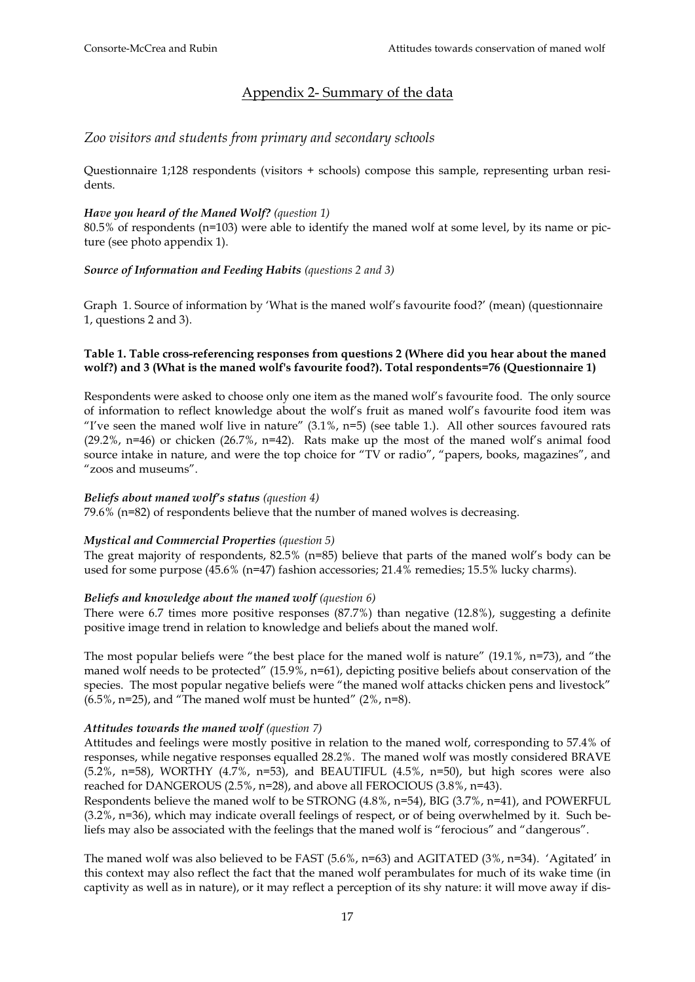## Appendix 2- Summary of the data

### *Zoo visitors and students from primary and secondary schools*

Questionnaire 1;128 respondents (visitors + schools) compose this sample, representing urban residents.

### *Have you heard of the Maned Wolf? (question 1)*

80.5% of respondents (n=103) were able to identify the maned wolf at some level, by its name or picture (see photo appendix 1).

### *Source of Information and Feeding Habits (questions 2 and 3)*

Graph 1. Source of information by 'What is the maned wolf's favourite food?' (mean) (questionnaire 1, questions 2 and 3).

### **Table 1. Table cross-referencing responses from questions 2 (Where did you hear about the maned wolf?) and 3 (What is the maned wolf's favourite food?). Total respondents=76 (Questionnaire 1)**

Respondents were asked to choose only one item as the maned wolf's favourite food. The only source of information to reflect knowledge about the wolf's fruit as maned wolf's favourite food item was "I've seen the maned wolf live in nature"  $(3.1\%$ , n=5) (see table 1.). All other sources favoured rats  $(29.2\%$ , n=46) or chicken  $(26.7\%$ , n=42). Rats make up the most of the maned wolf's animal food source intake in nature, and were the top choice for "TV or radio", "papers, books, magazines", and "zoos and museums".

#### *Beliefs about maned wolf's status (question 4)*

79.6% (n=82) of respondents believe that the number of maned wolves is decreasing.

#### *Mystical and Commercial Properties (question 5)*

The great majority of respondents, 82.5% (n=85) believe that parts of the maned wolf's body can be used for some purpose (45.6% (n=47) fashion accessories; 21.4% remedies; 15.5% lucky charms).

### *Beliefs and knowledge about the maned wolf (question 6)*

There were 6.7 times more positive responses (87.7%) than negative (12.8%), suggesting a definite positive image trend in relation to knowledge and beliefs about the maned wolf.

The most popular beliefs were "the best place for the maned wolf is nature" (19.1%, n=73), and "the maned wolf needs to be protected" (15.9%, n=61), depicting positive beliefs about conservation of the species. The most popular negative beliefs were "the maned wolf attacks chicken pens and livestock"  $(6.5\%$ , n=25), and "The maned wolf must be hunted"  $(2\%$ , n=8).

### *Attitudes towards the maned wolf (question 7)*

Attitudes and feelings were mostly positive in relation to the maned wolf, corresponding to 57.4% of responses, while negative responses equalled 28.2%. The maned wolf was mostly considered BRAVE  $(5.2\%$ , n=58), WORTHY  $(4.7\%$ , n=53), and BEAUTIFUL  $(4.5\%$ , n=50), but high scores were also reached for DANGEROUS (2.5%, n=28), and above all FEROCIOUS (3.8%, n=43).

Respondents believe the maned wolf to be STRONG (4.8%, n=54), BIG (3.7%, n=41), and POWERFUL (3.2%, n=36), which may indicate overall feelings of respect, or of being overwhelmed by it. Such beliefs may also be associated with the feelings that the maned wolf is "ferocious" and "dangerous".

The maned wolf was also believed to be FAST (5.6%, n=63) and AGITATED (3%, n=34). 'Agitated' in this context may also reflect the fact that the maned wolf perambulates for much of its wake time (in captivity as well as in nature), or it may reflect a perception of its shy nature: it will move away if dis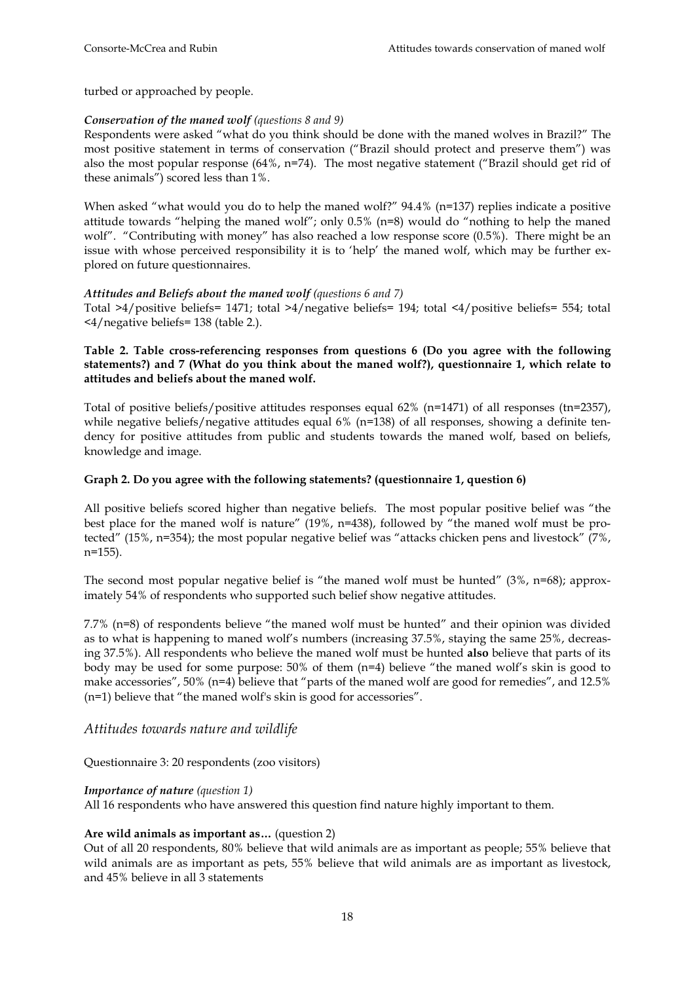turbed or approached by people.

### *Conservation of the maned wolf (questions 8 and 9)*

Respondents were asked "what do you think should be done with the maned wolves in Brazil?" The most positive statement in terms of conservation ("Brazil should protect and preserve them") was also the most popular response (64%, n=74). The most negative statement ("Brazil should get rid of these animals") scored less than 1%.

When asked "what would you do to help the maned wolf?" 94.4% (n=137) replies indicate a positive attitude towards "helping the maned wolf"; only 0.5% (n=8) would do "nothing to help the maned wolf". "Contributing with money" has also reached a low response score (0.5%). There might be an issue with whose perceived responsibility it is to 'help' the maned wolf, which may be further explored on future questionnaires.

### *Attitudes and Beliefs about the maned wolf (questions 6 and 7)*

Total >4/positive beliefs= 1471; total >4/negative beliefs= 194; total <4/positive beliefs= 554; total <4/negative beliefs= 138 (table 2.).

### **Table 2. Table cross-referencing responses from questions 6 (Do you agree with the following statements?) and 7 (What do you think about the maned wolf?), questionnaire 1, which relate to attitudes and beliefs about the maned wolf.**

Total of positive beliefs/positive attitudes responses equal 62% (n=1471) of all responses (tn=2357), while negative beliefs/negative attitudes equal  $6\%$  (n=138) of all responses, showing a definite tendency for positive attitudes from public and students towards the maned wolf, based on beliefs, knowledge and image.

### **Graph 2. Do you agree with the following statements? (questionnaire 1, question 6)**

All positive beliefs scored higher than negative beliefs. The most popular positive belief was "the best place for the maned wolf is nature" (19%, n=438), followed by "the maned wolf must be protected" (15%, n=354); the most popular negative belief was "attacks chicken pens and livestock" (7%, n=155).

The second most popular negative belief is "the maned wolf must be hunted" (3%, n=68); approximately 54% of respondents who supported such belief show negative attitudes.

7.7% (n=8) of respondents believe "the maned wolf must be hunted" and their opinion was divided as to what is happening to maned wolf's numbers (increasing 37.5%, staying the same 25%, decreasing 37.5%). All respondents who believe the maned wolf must be hunted **also** believe that parts of its body may be used for some purpose:  $50\%$  of them (n=4) believe "the maned wolf's skin is good to make accessories", 50% (n=4) believe that "parts of the maned wolf are good for remedies", and 12.5% (n=1) believe that "the maned wolf's skin is good for accessories".

### *Attitudes towards nature and wildlife*

Questionnaire 3: 20 respondents (zoo visitors)

#### *Importance of nature (question 1)*

All 16 respondents who have answered this question find nature highly important to them.

#### **Are wild animals as important as…** (question 2)

Out of all 20 respondents, 80% believe that wild animals are as important as people; 55% believe that wild animals are as important as pets, 55% believe that wild animals are as important as livestock, and 45% believe in all 3 statements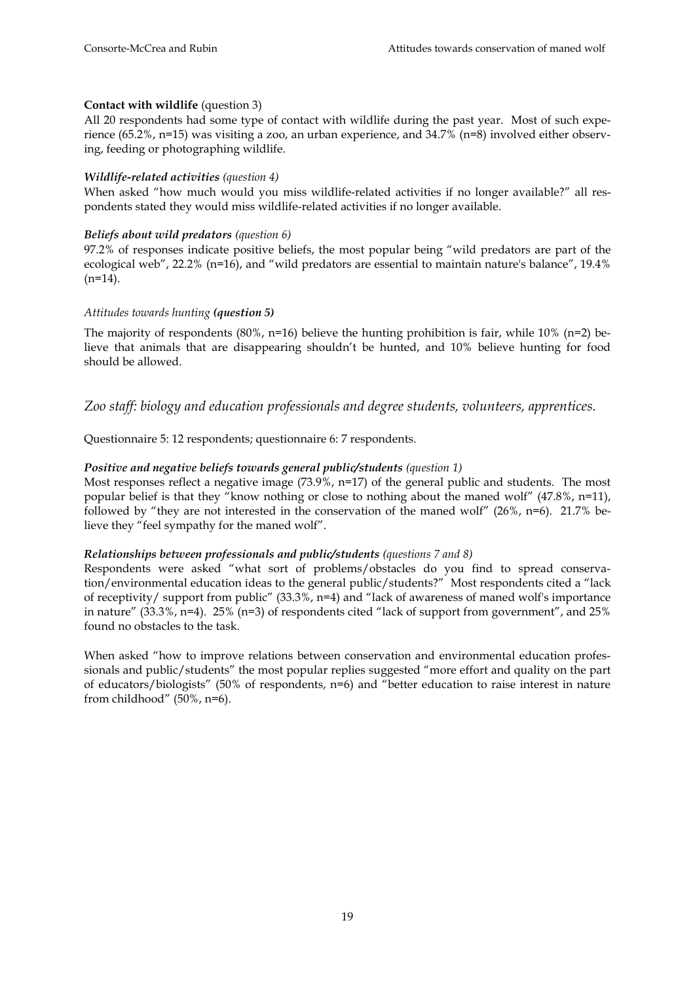### **Contact with wildlife** (question 3)

All 20 respondents had some type of contact with wildlife during the past year. Most of such experience (65.2%, n=15) was visiting a zoo, an urban experience, and 34.7% (n=8) involved either observing, feeding or photographing wildlife.

### *Wildlife-related activities (question 4)*

When asked "how much would you miss wildlife-related activities if no longer available?" all respondents stated they would miss wildlife-related activities if no longer available.

### *Beliefs about wild predators (question 6)*

97.2% of responses indicate positive beliefs, the most popular being "wild predators are part of the ecological web", 22.2% (n=16), and "wild predators are essential to maintain nature's balance", 19.4%  $(n=14)$ .

### *Attitudes towards hunting (question 5)*

The majority of respondents  $(80\% , n=16)$  believe the hunting prohibition is fair, while  $10\%$  (n=2) believe that animals that are disappearing shouldn't be hunted, and 10% believe hunting for food should be allowed.

*Zoo staff: biology and education professionals and degree students, volunteers, apprentices.* 

Questionnaire 5: 12 respondents; questionnaire 6: 7 respondents.

### *Positive and negative beliefs towards general public/students (question 1)*

Most responses reflect a negative image (73.9%, n=17) of the general public and students. The most popular belief is that they "know nothing or close to nothing about the maned wolf" (47.8%, n=11), followed by "they are not interested in the conservation of the maned wolf"  $(26\%, n=6)$ . 21.7% believe they "feel sympathy for the maned wolf".

### *Relationships between professionals and public/students (questions 7 and 8)*

Respondents were asked "what sort of problems/obstacles do you find to spread conservation/environmental education ideas to the general public/students?" Most respondents cited a "lack of receptivity/ support from public" (33.3%, n=4) and "lack of awareness of maned wolf's importance in nature" (33.3%, n=4). 25% (n=3) of respondents cited "lack of support from government", and 25% found no obstacles to the task.

When asked "how to improve relations between conservation and environmental education professionals and public/students" the most popular replies suggested "more effort and quality on the part of educators/biologists" (50% of respondents, n=6) and "better education to raise interest in nature from childhood" (50%, n=6).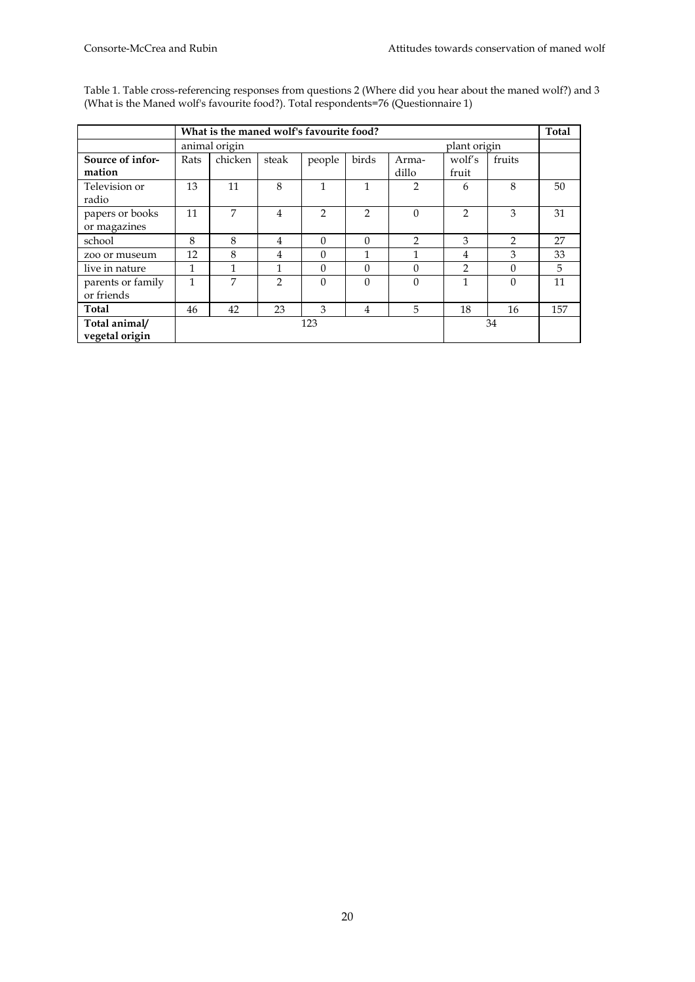|                   |              | What is the maned wolf's favourite food? |                |               |                |                |                |                | <b>Total</b> |
|-------------------|--------------|------------------------------------------|----------------|---------------|----------------|----------------|----------------|----------------|--------------|
|                   |              | animal origin                            |                |               |                |                | plant origin   |                |              |
| Source of infor-  | Rats         | chicken                                  | steak          | people        | birds          | Arma-          | wolf's         | fruits         |              |
| mation            |              |                                          |                |               |                | dillo          | fruit          |                |              |
| Television or     | 13           | 11                                       | 8              | $\mathbf{1}$  | 1              | $\overline{2}$ | 6              | 8              | 50           |
| radio             |              |                                          |                |               |                |                |                |                |              |
| papers or books   | 11           | 7                                        | $\overline{4}$ | $\mathcal{P}$ | $\mathcal{P}$  | $\theta$       | $\overline{2}$ | 3              | 31           |
| or magazines      |              |                                          |                |               |                |                |                |                |              |
| school            | 8            | 8                                        | 4              | $\Omega$      | $\Omega$       | $\mathcal{P}$  | 3              | $\overline{2}$ | 27           |
| zoo or museum     | 12           | 8                                        | 4              | $\Omega$      | 1              | 1              | 4              | 3              | 33           |
| live in nature    | $\mathbf{1}$ |                                          | 1              | $\Omega$      | $\Omega$       | $\Omega$       | $\overline{2}$ | $\Omega$       | 5            |
| parents or family | 1            | 7                                        | $\mathcal{P}$  | $\Omega$      | $\Omega$       | $\Omega$       | 1              | $\Omega$       | 11           |
| or friends        |              |                                          |                |               |                |                |                |                |              |
| Total             | 46           | 42                                       | 23             | 3             | $\overline{4}$ | 5              | 18             | 16             | 157          |
| Total animal/     |              |                                          |                | 123           |                |                |                | 34             |              |
| vegetal origin    |              |                                          |                |               |                |                |                |                |              |

Table 1. Table cross-referencing responses from questions 2 (Where did you hear about the maned wolf?) and 3 (What is the Maned wolf's favourite food?). Total respondents=76 (Questionnaire 1)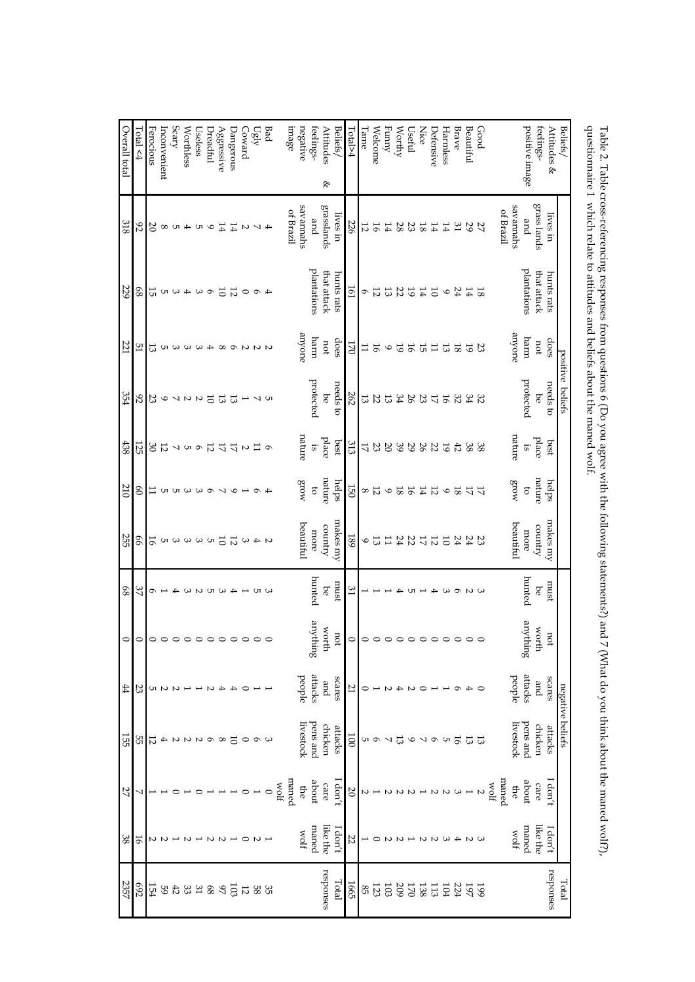| Overall total | Total < 4 | Ferocious           | Inconvenient      | Scary              | Worthless                                  | Useless             | Dreadful        | ${\rm Ag}$ ggressive | Dangerous      | Coward                    | Ugly               | Bad                 | плаgе                  | negative    | feelings-       | Attitudes<br>Beliefs,       | Lotal>4        | Tame     | Welcome         | Funny           | Worthy         | Useful         | <b>Nice</b>     | Defensive       | Harmless | Brave   | Beautiful      | Good           |              |             | positive image | feelings-   | Attitudes<br>& | <b>Beliefs</b>   |                                                                                                                                                                                                                                           |
|---------------|-----------|---------------------|-------------------|--------------------|--------------------------------------------|---------------------|-----------------|----------------------|----------------|---------------------------|--------------------|---------------------|------------------------|-------------|-----------------|-----------------------------|----------------|----------|-----------------|-----------------|----------------|----------------|-----------------|-----------------|----------|---------|----------------|----------------|--------------|-------------|----------------|-------------|----------------|------------------|-------------------------------------------------------------------------------------------------------------------------------------------------------------------------------------------------------------------------------------------|
| 318           | 92        |                     | $\infty$ $\infty$ |                    |                                            | $\sim$ 10 $\sim$ 10 |                 | 14                   | 14             | $\boldsymbol{\mathsf{c}}$ |                    | 4V                  | of Brazil              | savannahs   | and             | ۴<br>grasslands<br>lives in | 226            | 12       | 16              | 14              | 28             | 23             | $8\,$           | 14              | 14       | 31      | 29             | 27             | of Brazil    | savannahs   | and            | grass lands | lives in       |                  | questionnaire 1 which relate to attitudes and beliefs about the maned wolf.<br>Table 2. Table cross-referencing responses from questions 6 (Do you agree with the following statements?) and 7 (What do you think about the maned wolf?), |
| 229           | 89        | 15                  |                   | ωw                 | $\blacktriangle$                           | $\mathbf \omega$    | $\sigma$        | $\overline{0}$       | $\overline{5}$ | $\circ$                   | $\sigma$           | Ŧ                   |                        |             | plantations     | that attack<br>hunts rats   | Iel            | ó        | 12              | 13              | 22             | $6\,\rm{I}$    | $\overline{14}$ | $\overline{0}$  | $\circ$  | 24      | 14             | <sub>8</sub> I |              |             | plantations    | that attack | hunts rats     |                  |                                                                                                                                                                                                                                           |
| 221           | 51        | 13                  | UТ                | $\mathbf{\hat{z}}$ |                                            | ဖဖ                  |                 |                      |                |                           | $U U \circ \infty$ |                     |                        | anyone      | uarru           | does<br>por                 | LZO            | $\Box$   | ЭŢ              | $\circ$         | $\overline{6}$ | ЭŢ             | 51              | $\overline{11}$ | 33       | $^{8}$  | $\overline{6}$ | 23             |              | anyone      | harm           | port        | does           | positive         |                                                                                                                                                                                                                                           |
| 354           | 92        | 23                  | $\circ$           |                    | $\begin{array}{c} 2 \\ 2 \\ 1 \end{array}$ |                     | $\overline{0}$  | 13                   | 53             |                           |                    | תט ג                |                        |             | protected       | needs to<br>9d              | 262            | 13       | 22              | 13              | <b>28</b>      |                | $\mathfrak{B}$  | $\overline{L}$  | 9Ţ       | 32      | 32             |                |              |             | protected      | 9d          | needs to       | beliefs          |                                                                                                                                                                                                                                           |
| 438           | 125       | 30                  | $\overline{5}$    |                    |                                            | $\sigma$ D $\sim$   | $\overline{5}$  | 17                   | 17             | $\overline{c}$            | $\overline{11}$    | $\circ$             |                        | nature      | $\overline{15}$ | place<br>best               | 313            | 17       | 23              | $\infty$        | 39             | 29             | 26              | 22              | 61       | $42\,$  | 38             | 38             |              | nature      | $\ddot{1}$     | place       | best           |                  |                                                                                                                                                                                                                                           |
| 210           | 8         | Ξ                   |                   | <b>000000</b>      |                                            |                     |                 | ↘                    | $\circ$        |                           | $\circ$            | ₳                   |                        | $M$ OJ $3$  | $\sigma$        | nature<br>helps             | 150            | $\infty$ | $\overline{5}$  | $\circ$         | $\mathbf{S}$   | 16             | $\sharp$        | $\overline{5}$  | $\circ$  | $^{8}$  | $\frac{17}{7}$ |                |              | $M$ org     | $\sigma$       | nature      | helps          |                  |                                                                                                                                                                                                                                           |
| 255           | 99        | 16                  |                   | 1550999            |                                            |                     |                 |                      |                |                           |                    | $\alpha$ 4 $\omega$ |                        | beautiful   | more            | makes my<br>country         | <b>189</b>     | 9        | 13              | $\overline{11}$ |                |                |                 | $232222222$     |          |         |                |                |              | beautiful   | more           | country     | makes my       |                  |                                                                                                                                                                                                                                           |
| $68\,$        | 37        | ó                   |                   | ਜ⊳                 | ω                                          |                     | U               |                      |                |                           | UП                 |                     |                        |             | hunted          | must<br><b>be</b>           | 31             |          |                 |                 |                |                |                 |                 |          | ᡡ       | 2<br>2         |                |              |             | hunted         | 9d          | must           |                  |                                                                                                                                                                                                                                           |
| $\circ$       |           | $\circ \circ \circ$ |                   |                    | $\circ$                                    | $\circ$             |                 |                      |                | $\circ$                   | $\circ$            | $\circ$             |                        |             | suppting        | worth<br>not                | $\circ$        |          | $\circ$ $\circ$ |                 | $\circ$        |                |                 |                 | $\circ$  | $\circ$ | $\circ$        |                |              |             | suppting       | worth       | not            |                  |                                                                                                                                                                                                                                           |
| 44            | 23        | UТ                  | Z                 |                    |                                            |                     |                 |                      |                |                           |                    |                     |                        | beoble      | attacks         | scares<br>pue               | 21             |          |                 |                 |                | N              |                 |                 |          |         |                |                |              | people      | attacks        | gmd         | seares         |                  |                                                                                                                                                                                                                                           |
| 155           | 55        | 12                  | 4                 | N                  | Z                                          | Z                   | $\sigma$        | $^{\circ}$           | 5              | $\circ$                   | $\circ$            |                     |                        | Iivestock   | pens and        | chicken<br>attacks          | $\overline{5}$ | UТ       | $\sigma$        | ↘               | 13             | $\circ$        | ↘               | $\circ$         | Cл       | 16      | 13             | 13             |              | livestock   | pens and       | chicken     | attacks        | negative beliefs |                                                                                                                                                                                                                                           |
| 27            | ₹         |                     |                   |                    |                                            |                     |                 |                      |                |                           |                    |                     | maned<br>$_{\rm flow}$ | ₽           | about           | I don't<br>care             | $\infty$       | N        |                 |                 |                |                |                 |                 |          |         |                | N              | maned<br>10M | ₽           | about          | care        | I don't        |                  |                                                                                                                                                                                                                                           |
| $38\,$        | 16        | N                   |                   |                    |                                            |                     |                 |                      |                |                           |                    |                     |                        | <b>Wolf</b> | maned           | like the<br>I don't         | 22             |          |                 |                 |                |                |                 |                 |          |         |                |                |              | <b>Wolf</b> | maned          | like the    | I don't        |                  |                                                                                                                                                                                                                                           |
| 2357          | 692       | 154                 | $^{59}$           | $42\,$             | 33                                         | $\mathfrak{Z}1$     | $8\hskip-2pt 8$ | 97                   | 103            | $\overline{12}$           |                    | 35<br>58            |                        |             |                 | responses<br>Total          | 1665           | $85\,$   | 123             | 103             | 209            | $\overline{2}$ | 138             | 113             | ÌО4      | 224     | 197            | 599            |              |             |                |             | responses      | Total            |                                                                                                                                                                                                                                           |